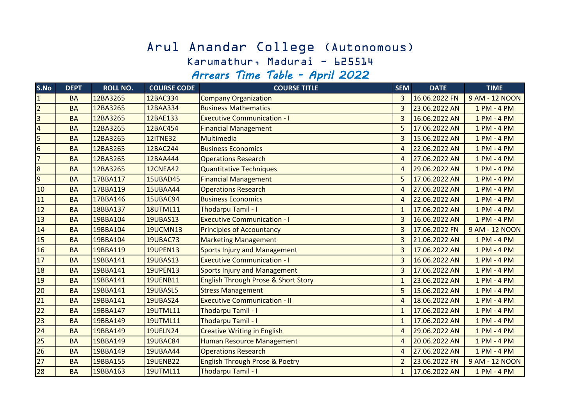## Arul Anandar College (Autonomous)

## Karumathur, Madurai - 625514

## *Arrears Time Table - April 2022*

| S.No            | <b>DEPT</b> | <b>ROLL NO.</b> | <b>COURSE CODE</b> | <b>COURSE TITLE</b>                            | <b>SEM</b>     | <b>DATE</b>   | <b>TIME</b>    |
|-----------------|-------------|-----------------|--------------------|------------------------------------------------|----------------|---------------|----------------|
| $\mathbf{1}$    | <b>BA</b>   | 12BA3265        | 12BAC334           | <b>Company Organization</b>                    | $\overline{3}$ | 16.06.2022 FN | 9 AM - 12 NOON |
| $\overline{2}$  | <b>BA</b>   | 12BA3265        | 12BAA334           | <b>Business Mathematics</b>                    | 3              | 23.06.2022 AN | 1 PM - 4 PM    |
| $\overline{3}$  | <b>BA</b>   | 12BA3265        | 12BAE133           | <b>Executive Communication - I</b>             | $\overline{3}$ | 16.06.2022 AN | 1 PM - 4 PM    |
| $\overline{a}$  | <b>BA</b>   | 12BA3265        | 12BAC454           | <b>Financial Management</b>                    | 5              | 17.06.2022 AN | 1 PM - 4 PM    |
| 5               | <b>BA</b>   | 12BA3265        | <b>12ITNE32</b>    | Multimedia                                     | $\overline{3}$ | 15.06.2022 AN | 1 PM - 4 PM    |
| $6\overline{6}$ | <b>BA</b>   | 12BA3265        | 12BAC244           | <b>Business Economics</b>                      | $\overline{4}$ | 22.06.2022 AN | 1 PM - 4 PM    |
| $\overline{7}$  | <b>BA</b>   | 12BA3265        | 12BAA444           | <b>Operations Research</b>                     | 4              | 27.06.2022 AN | 1 PM - 4 PM    |
| $\overline{8}$  | <b>BA</b>   | 12BA3265        | <b>12CNEA42</b>    | <b>Quantitative Techniques</b>                 | 4              | 29.06.2022 AN | 1 PM - 4 PM    |
| 9               | <b>BA</b>   | 17BBA117        | <b>15UBAD45</b>    | <b>Financial Management</b>                    | 5              | 17.06.2022 AN | 1 PM - 4 PM    |
| 10              | <b>BA</b>   | 17BBA119        | <b>15UBAA44</b>    | <b>Operations Research</b>                     | $\overline{4}$ | 27.06.2022 AN | 1 PM - 4 PM    |
| 11              | <b>BA</b>   | 17BBA146        | 15UBAC94           | <b>Business Economics</b>                      | 4              | 22.06.2022 AN | 1 PM - 4 PM    |
| 12              | <b>BA</b>   | 18BBA137        | <b>18UTML11</b>    | Thodarpu Tamil - I                             | $\mathbf{1}$   | 17.06.2022 AN | 1 PM - 4 PM    |
| 13              | <b>BA</b>   | 19BBA104        | <b>19UBAS13</b>    | <b>Executive Communication - I</b>             | $\overline{3}$ | 16.06.2022 AN | 1 PM - 4 PM    |
| 14              | <b>BA</b>   | 19BBA104        | <b>19UCMN13</b>    | <b>Principles of Accountancy</b>               | $\overline{3}$ | 17.06.2022 FN | 9 AM - 12 NOON |
| 15              | <b>BA</b>   | 19BBA104        | <b>19UBAC73</b>    | <b>Marketing Management</b>                    | 3              | 21.06.2022 AN | 1 PM - 4 PM    |
| 16              | <b>BA</b>   | 19BBA119        | <b>19UPEN13</b>    | <b>Sports Injury and Management</b>            | 3              | 17.06.2022 AN | 1 PM - 4 PM    |
| 17              | <b>BA</b>   | 19BBA141        | <b>19UBAS13</b>    | <b>Executive Communication - I</b>             | $\overline{3}$ | 16.06.2022 AN | 1 PM - 4 PM    |
| 18              | <b>BA</b>   | 19BBA141        | <b>19UPEN13</b>    | <b>Sports Injury and Management</b>            | $\overline{3}$ | 17.06.2022 AN | 1 PM - 4 PM    |
| 19              | <b>BA</b>   | 19BBA141        | <b>19UENB11</b>    | <b>English Through Prose &amp; Short Story</b> | $\mathbf{1}$   | 23.06.2022 AN | 1 PM - 4 PM    |
| 20              | <b>BA</b>   | 19BBA141        | 19UBASL5           | <b>Stress Management</b>                       | 5              | 15.06.2022 AN | 1 PM - 4 PM    |
| 21              | <b>BA</b>   | 19BBA141        | <b>19UBAS24</b>    | <b>Executive Communication - II</b>            | 4              | 18.06.2022 AN | 1 PM - 4 PM    |
| 22              | <b>BA</b>   | 19BBA147        | <b>19UTML11</b>    | Thodarpu Tamil - I                             | $\mathbf{1}$   | 17.06.2022 AN | 1 PM - 4 PM    |
| 23              | <b>BA</b>   | 19BBA149        | <b>19UTML11</b>    | Thodarpu Tamil - I                             | $\mathbf{1}$   | 17.06.2022 AN | 1 PM - 4 PM    |
| 24              | <b>BA</b>   | 19BBA149        | <b>19UELN24</b>    | <b>Creative Writing in English</b>             | $\overline{4}$ | 29.06.2022 AN | 1 PM - 4 PM    |
| 25              | <b>BA</b>   | 19BBA149        | <b>19UBAC84</b>    | Human Resource Management                      | $\overline{4}$ | 20.06.2022 AN | 1 PM - 4 PM    |
| 26              | <b>BA</b>   | 19BBA149        | <b>19UBAA44</b>    | <b>Operations Research</b>                     | $\overline{4}$ | 27.06.2022 AN | 1 PM - 4 PM    |
| 27              | <b>BA</b>   | 19BBA155        | <b>19UENB22</b>    | <b>English Through Prose &amp; Poetry</b>      | $\overline{2}$ | 23.06.2022 FN | 9 AM - 12 NOON |
| 28              | <b>BA</b>   | 19BBA163        | <b>19UTML11</b>    | Thodarpu Tamil - I                             | $\mathbf{1}$   | 17.06.2022 AN | 1 PM - 4 PM    |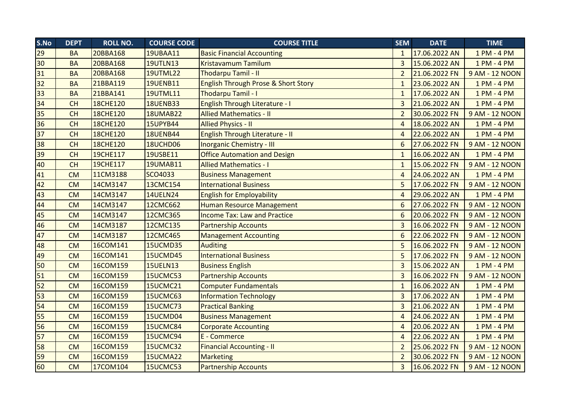| S.No | <b>DEPT</b> | <b>ROLL NO.</b> | <b>COURSE CODE</b> | <b>COURSE TITLE</b>                            | <b>SEM</b>     | <b>DATE</b>   | <b>TIME</b>    |
|------|-------------|-----------------|--------------------|------------------------------------------------|----------------|---------------|----------------|
| 29   | <b>BA</b>   | 20BBA168        | 19UBAA11           | <b>Basic Financial Accounting</b>              | $\mathbf{1}$   | 17.06.2022 AN | 1 PM - 4 PM    |
| 30   | <b>BA</b>   | 20BBA168        | <b>19UTLN13</b>    | <b>Kristavamum Tamilum</b>                     | $\overline{3}$ | 15.06.2022 AN | 1 PM - 4 PM    |
| 31   | <b>BA</b>   | 20BBA168        | <b>19UTML22</b>    | <b>Thodarpu Tamil - II</b>                     | $\overline{2}$ | 21.06.2022 FN | 9 AM - 12 NOON |
| 32   | <b>BA</b>   | 21BBA119        | <b>19UENB11</b>    | <b>English Through Prose &amp; Short Story</b> | 1              | 23.06.2022 AN | 1 PM - 4 PM    |
| 33   | <b>BA</b>   | 21BBA141        | <b>19UTML11</b>    | Thodarpu Tamil - I                             | 1              | 17.06.2022 AN | 1 PM - 4 PM    |
| 34   | <b>CH</b>   | <b>18CHE120</b> | <b>18UENB33</b>    | <b>English Through Literature - I</b>          | $\overline{3}$ | 21.06.2022 AN | 1 PM - 4 PM    |
| 35   | <b>CH</b>   | <b>18CHE120</b> | <b>18UMAB22</b>    | <b>Allied Mathematics - II</b>                 | $\overline{2}$ | 30.06.2022 FN | 9 AM - 12 NOON |
| 36   | <b>CH</b>   | <b>18CHE120</b> | 15UPYB44           | <b>Allied Physics - II</b>                     | $\overline{4}$ | 18.06.2022 AN | 1 PM - 4 PM    |
| 37   | <b>CH</b>   | <b>18CHE120</b> | <b>18UENB44</b>    | English Through Literature - II                | $\overline{A}$ | 22.06.2022 AN | 1 PM - 4 PM    |
| 38   | <b>CH</b>   | <b>18CHE120</b> | 18UCHD06           | <b>Inorganic Chemistry - III</b>               | 6              | 27.06.2022 FN | 9 AM - 12 NOON |
| 39   | <b>CH</b>   | <b>19CHE117</b> | 19USBE11           | <b>Office Automation and Design</b>            | $\mathbf{1}$   | 16.06.2022 AN | 1 PM - 4 PM    |
| 40   | <b>CH</b>   | <b>19CHE117</b> | <b>19UMAB11</b>    | <b>Allied Mathematics - I</b>                  | $\mathbf{1}$   | 15.06.2022 FN | 9 AM - 12 NOON |
| 41   | <b>CM</b>   | 11CM3188        | SCO4033            | <b>Business Management</b>                     | $\overline{4}$ | 24.06.2022 AN | 1 PM - 4 PM    |
| 42   | <b>CM</b>   | 14CM3147        | 13CMC154           | <b>International Business</b>                  | 5              | 17.06.2022 FN | 9 AM - 12 NOON |
| 43   | <b>CM</b>   | 14CM3147        | <b>14UELN24</b>    | <b>English for Employability</b>               | 4              | 29.06.2022 AN | 1 PM - 4 PM    |
| 44   | <b>CM</b>   | 14CM3147        | 12CMC662           | <b>Human Resource Management</b>               | 6              | 27.06.2022 FN | 9 AM - 12 NOON |
| 45   | <b>CM</b>   | 14CM3147        | 12CMC365           | <b>Income Tax: Law and Practice</b>            | 6              | 20.06.2022 FN | 9 AM - 12 NOON |
| 46   | <b>CM</b>   | 14CM3187        | 12CMC135           | <b>Partnership Accounts</b>                    | 3              | 16.06.2022 FN | 9 AM - 12 NOON |
| 47   | <b>CM</b>   | 14CM3187        | 12CMC465           | <b>Management Accounting</b>                   | 6              | 22.06.2022 FN | 9 AM - 12 NOON |
| 48   | <b>CM</b>   | 16COM141        | 15UCMD35           | <b>Auditing</b>                                | 5              | 16.06.2022 FN | 9 AM - 12 NOON |
| 49   | <b>CM</b>   | 16COM141        | <b>15UCMD45</b>    | <b>International Business</b>                  | 5              | 17.06.2022 FN | 9 AM - 12 NOON |
| 50   | <b>CM</b>   | 16COM159        | <b>15UELN13</b>    | <b>Business English</b>                        | 3              | 15.06.2022 AN | 1 PM - 4 PM    |
| 51   | <b>CM</b>   | 16COM159        | 15UCMC53           | <b>Partnership Accounts</b>                    | 3              | 16.06.2022 FN | 9 AM - 12 NOON |
| 52   | <b>CM</b>   | 16COM159        | <b>15UCMC21</b>    | <b>Computer Fundamentals</b>                   | $\mathbf{1}$   | 16.06.2022 AN | 1 PM - 4 PM    |
| 53   | <b>CM</b>   | 16COM159        | 15UCMC63           | <b>Information Technology</b>                  | $\overline{3}$ | 17.06.2022 AN | 1 PM - 4 PM    |
| 54   | <b>CM</b>   | 16COM159        | 15UCMC73           | <b>Practical Banking</b>                       | $\overline{3}$ | 21.06.2022 AN | 1 PM - 4 PM    |
| 55   | <b>CM</b>   | 16COM159        | 15UCMD04           | <b>Business Management</b>                     | $\overline{4}$ | 24.06.2022 AN | 1 PM - 4 PM    |
| 56   | <b>CM</b>   | 16COM159        | 15UCMC84           | <b>Corporate Accounting</b>                    | $\overline{4}$ | 20.06.2022 AN | 1 PM - 4 PM    |
| 57   | <b>CM</b>   | 16COM159        | 15UCMC94           | E - Commerce                                   | $\overline{4}$ | 22.06.2022 AN | 1 PM - 4 PM    |
| 58   | <b>CM</b>   | 16COM159        | 15UCMC32           | <b>Financial Accounting - II</b>               | $\overline{2}$ | 25.06.2022 FN | 9 AM - 12 NOON |
| 59   | <b>CM</b>   | 16COM159        | 15UCMA22           | <b>Marketing</b>                               | $\overline{2}$ | 30.06.2022 FN | 9 AM - 12 NOON |
| 60   | <b>CM</b>   | 17COM104        | 15UCMC53           | <b>Partnership Accounts</b>                    | $\overline{3}$ | 16.06.2022 FN | 9 AM - 12 NOON |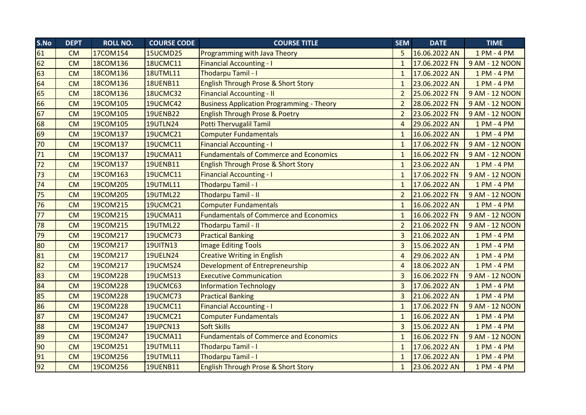| S.No | <b>DEPT</b> | <b>ROLL NO.</b> | <b>COURSE CODE</b> | <b>COURSE TITLE</b>                              | <b>SEM</b>             | <b>DATE</b>   | <b>TIME</b>    |
|------|-------------|-----------------|--------------------|--------------------------------------------------|------------------------|---------------|----------------|
| 61   | <b>CM</b>   | 17COM154        | 15UCMD25           | <b>Programming with Java Theory</b>              | 5                      | 16.06.2022 AN | 1 PM - 4 PM    |
| 62   | <b>CM</b>   | 18COM136        | <b>18UCMC11</b>    | <b>Financial Accounting - I</b>                  | $\mathbf{1}$           | 17.06.2022 FN | 9 AM - 12 NOON |
| 63   | <b>CM</b>   | 18COM136        | <b>18UTML11</b>    | Thodarpu Tamil - I                               | $\mathbf{1}$           | 17.06.2022 AN | 1 PM - 4 PM    |
| 64   | CM          | 18COM136        | <b>18UENB11</b>    | English Through Prose & Short Story              | $\mathbf{1}$           | 23.06.2022 AN | 1 PM - 4 PM    |
| 65   | <b>CM</b>   | 18COM136        | <b>18UCMC32</b>    | <b>Financial Accounting - II</b>                 | $\overline{2}$         | 25.06.2022 FN | 9 AM - 12 NOON |
| 66   | <b>CM</b>   | 19COM105        | 19UCMC42           | <b>Business Application Programming - Theory</b> | $\overline{2}$         | 28.06.2022 FN | 9 AM - 12 NOON |
| 67   | <b>CM</b>   | 19COM105        | <b>19UENB22</b>    | <b>English Through Prose &amp; Poetry</b>        | $\overline{2}$         | 23.06.2022 FN | 9 AM - 12 NOON |
| 68   | <b>CM</b>   | 19COM105        | <b>19UTLN24</b>    | <b>Potti Thervugalil Tamil</b>                   | $\boldsymbol{\Lambda}$ | 29.06.2022 AN | 1 PM - 4 PM    |
| 69   | <b>CM</b>   | 19COM137        | <b>19UCMC21</b>    | <b>Computer Fundamentals</b>                     | $\mathbf{1}$           | 16.06.2022 AN | 1 PM - 4 PM    |
| 70   | <b>CM</b>   | 19COM137        | <b>19UCMC11</b>    | <b>Financial Accounting - I</b>                  | $\mathbf{1}$           | 17.06.2022 FN | 9 AM - 12 NOON |
| 71   | <b>CM</b>   | 19COM137        | <b>19UCMA11</b>    | <b>Fundamentals of Commerce and Economics</b>    | $\mathbf{1}$           | 16.06.2022 FN | 9 AM - 12 NOON |
| 72   | <b>CM</b>   | 19COM137        | <b>19UENB11</b>    | English Through Prose & Short Story              | $\mathbf{1}$           | 23.06.2022 AN | 1 PM - 4 PM    |
| 73   | <b>CM</b>   | 19COM163        | <b>19UCMC11</b>    | <b>Financial Accounting - I</b>                  | $\mathbf{1}$           | 17.06.2022 FN | 9 AM - 12 NOON |
| 74   | <b>CM</b>   | 19COM205        | <b>19UTML11</b>    | Thodarpu Tamil - I                               | $\mathbf{1}$           | 17.06.2022 AN | 1 PM - 4 PM    |
| 75   | CM          | 19COM205        | <b>19UTML22</b>    | <b>Thodarpu Tamil - II</b>                       | $\overline{2}$         | 21.06.2022 FN | 9 AM - 12 NOON |
| 76   | <b>CM</b>   | 19COM215        | <b>19UCMC21</b>    | <b>Computer Fundamentals</b>                     | $\mathbf{1}$           | 16.06.2022 AN | 1 PM - 4 PM    |
| 77   | CM          | 19COM215        | <b>19UCMA11</b>    | <b>Fundamentals of Commerce and Economics</b>    | $\mathbf{1}$           | 16.06.2022 FN | 9 AM - 12 NOON |
| 78   | <b>CM</b>   | 19COM215        | <b>19UTML22</b>    | <b>Thodarpu Tamil - II</b>                       | $\overline{2}$         | 21.06.2022 FN | 9 AM - 12 NOON |
| 79   | CM          | 19COM217        | <b>19UCMC73</b>    | <b>Practical Banking</b>                         | $\overline{3}$         | 21.06.2022 AN | 1 PM - 4 PM    |
| 80   | CM          | 19COM217        | <b>19UITN13</b>    | <b>Image Editing Tools</b>                       | $\overline{3}$         | 15.06.2022 AN | 1 PM - 4 PM    |
| 81   | <b>CM</b>   | 19COM217        | <b>19UELN24</b>    | <b>Creative Writing in English</b>               | $\boldsymbol{\Lambda}$ | 29.06.2022 AN | 1 PM - 4 PM    |
| 82   | <b>CM</b>   | 19COM217        | <b>19UCMS24</b>    | Development of Entrepreneurship                  | $\boldsymbol{\Lambda}$ | 18.06.2022 AN | 1 PM - 4 PM    |
| 83   | <b>CM</b>   | 19COM228        | <b>19UCMS13</b>    | <b>Executive Communication</b>                   | $\overline{3}$         | 16.06.2022 FN | 9 AM - 12 NOON |
| 84   | <b>CM</b>   | 19COM228        | 19UCMC63           | <b>Information Technology</b>                    | $\overline{3}$         | 17.06.2022 AN | 1 PM - 4 PM    |
| 85   | <b>CM</b>   | 19COM228        | <b>19UCMC73</b>    | <b>Practical Banking</b>                         | $\overline{3}$         | 21.06.2022 AN | 1 PM - 4 PM    |
| 86   | <b>CM</b>   | 19COM228        | <b>19UCMC11</b>    | <b>Financial Accounting - I</b>                  | $\overline{1}$         | 17.06.2022 FN | 9 AM - 12 NOON |
| 87   | <b>CM</b>   | 19COM247        | <b>19UCMC21</b>    | <b>Computer Fundamentals</b>                     | $\mathbf{1}$           | 16.06.2022 AN | 1 PM - 4 PM    |
| 88   | CM          | 19COM247        | <b>19UPCN13</b>    | Soft Skills                                      | $\overline{3}$         | 15.06.2022 AN | 1 PM - 4 PM    |
| 89   | <b>CM</b>   | 19COM247        | <b>19UCMA11</b>    | <b>Fundamentals of Commerce and Economics</b>    | $\mathbf{1}$           | 16.06.2022 FN | 9 AM - 12 NOON |
| 90   | <b>CM</b>   | 19COM251        | <b>19UTML11</b>    | Thodarpu Tamil - I                               | $\mathbf{1}$           | 17.06.2022 AN | 1 PM - 4 PM    |
| 91   | <b>CM</b>   | 19COM256        | <b>19UTML11</b>    | Thodarpu Tamil - I                               | $\mathbf{1}$           | 17.06.2022 AN | 1 PM - 4 PM    |
| 92   | CM          | 19COM256        | <b>19UENB11</b>    | English Through Prose & Short Story              | $\mathbf{1}$           | 23.06.2022 AN | 1 PM - 4 PM    |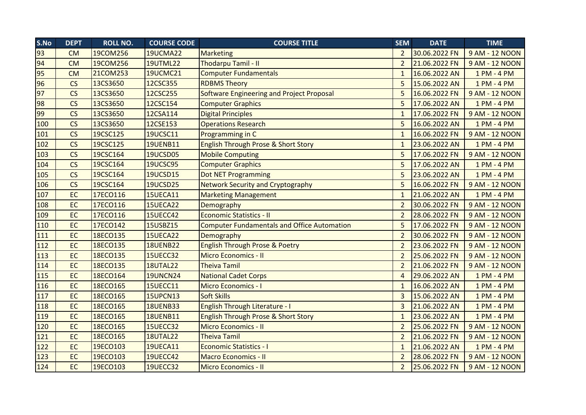| S.No | <b>DEPT</b> | <b>ROLL NO.</b> | <b>COURSE CODE</b> | <b>COURSE TITLE</b>                                | <b>SEM</b>     | <b>DATE</b>   | <b>TIME</b>    |
|------|-------------|-----------------|--------------------|----------------------------------------------------|----------------|---------------|----------------|
| 93   | <b>CM</b>   | 19COM256        | <b>19UCMA22</b>    | Marketing                                          | $\overline{2}$ | 30.06.2022 FN | 9 AM - 12 NOON |
| 94   | <b>CM</b>   | 19COM256        | <b>19UTML22</b>    | Thodarpu Tamil - II                                | $\overline{2}$ | 21.06.2022 FN | 9 AM - 12 NOON |
| 95   | <b>CM</b>   | 21COM253        | <b>19UCMC21</b>    | <b>Computer Fundamentals</b>                       | $\mathbf{1}$   | 16.06.2022 AN | 1 PM - 4 PM    |
| 96   | CS          | 13CS3650        | 12CSC355           | <b>RDBMS Theory</b>                                | 5              | 15.06.2022 AN | 1 PM - 4 PM    |
| 97   | CS          | 13CS3650        | 12CSC255           | Software Engineering and Project Proposal          | 5              | 16.06.2022 FN | 9 AM - 12 NOON |
| 98   | CS          | 13CS3650        | 12CSC154           | <b>Computer Graphics</b>                           | 5              | 17.06.2022 AN | 1 PM - 4 PM    |
| 99   | CS          | 13CS3650        | 12CSA114           | <b>Digital Principles</b>                          | $\mathbf{1}$   | 17.06.2022 FN | 9 AM - 12 NOON |
| 100  | CS          | 13CS3650        | 12CSE153           | <b>Operations Research</b>                         | 5              | 16.06.2022 AN | 1 PM - 4 PM    |
| 101  | CS          | 19CSC125        | 19UCSC11           | Programming in C                                   | $\mathbf{1}$   | 16.06.2022 FN | 9 AM - 12 NOON |
| 102  | CS          | 19CSC125        | <b>19UENB11</b>    | <b>English Through Prose &amp; Short Story</b>     | $\mathbf{1}$   | 23.06.2022 AN | 1 PM - 4 PM    |
| 103  | CS          | 19CSC164        | <b>19UCSD05</b>    | <b>Mobile Computing</b>                            | 5              | 17.06.2022 FN | 9 AM - 12 NOON |
| 104  | CS          | 19CSC164        | <b>19UCSC95</b>    | <b>Computer Graphics</b>                           | 5              | 17.06.2022 AN | 1 PM - 4 PM    |
| 105  | CS          | 19CSC164        | <b>19UCSD15</b>    | <b>Dot NET Programming</b>                         | 5              | 23.06.2022 AN | 1 PM - 4 PM    |
| 106  | CS          | 19CSC164        | <b>19UCSD25</b>    | <b>Network Security and Cryptography</b>           | 5              | 16.06.2022 FN | 9 AM - 12 NOON |
| 107  | <b>EC</b>   | 17ECO116        | 15UECA11           | <b>Marketing Management</b>                        | $\mathbf{1}$   | 21.06.2022 AN | 1 PM - 4 PM    |
| 108  | EC          | 17ECO116        | 15UECA22           | Demography                                         | $\overline{2}$ | 30.06.2022 FN | 9 AM - 12 NOON |
| 109  | <b>EC</b>   | 17ECO116        | 15UECC42           | <b>Economic Statistics - II</b>                    | $\overline{2}$ | 28.06.2022 FN | 9 AM - 12 NOON |
| 110  | EC          | 17ECO142        | 15USBZ15           | <b>Computer Fundamentals and Office Automation</b> | 5              | 17.06.2022 FN | 9 AM - 12 NOON |
| 111  | <b>EC</b>   | 18ECO135        | 15UECA22           | Demography                                         | $\overline{2}$ | 30.06.2022 FN | 9 AM - 12 NOON |
| 112  | EC          | 18ECO135        | <b>18UENB22</b>    | <b>English Through Prose &amp; Poetry</b>          | $\overline{2}$ | 23.06.2022 FN | 9 AM - 12 NOON |
| 113  | <b>EC</b>   | 18ECO135        | 15UECC32           | Micro Economics - II                               | $\overline{2}$ | 25.06.2022 FN | 9 AM - 12 NOON |
| 114  | <b>EC</b>   | 18ECO135        | <b>18UTAL22</b>    | <b>Theiva Tamil</b>                                | $\overline{2}$ | 21.06.2022 FN | 9 AM - 12 NOON |
| 115  | EC          | 18ECO164        | <b>19UNCN24</b>    | <b>National Cadet Corps</b>                        | $\overline{4}$ | 29.06.2022 AN | 1 PM - 4 PM    |
| 116  | <b>EC</b>   | 18ECO165        | <b>15UECC11</b>    | <b>Micro Economics - I</b>                         | $\mathbf{1}$   | 16.06.2022 AN | 1 PM - 4 PM    |
| 117  | <b>EC</b>   | 18ECO165        | <b>15UPCN13</b>    | <b>Soft Skills</b>                                 | $\overline{3}$ | 15.06.2022 AN | 1 PM - 4 PM    |
| 118  | EC          | 18ECO165        | <b>18UENB33</b>    | <b>English Through Literature - I</b>              | 3              | 21.06.2022 AN | 1 PM - 4 PM    |
| 119  | EC          | 18ECO165        | <b>18UENB11</b>    | <b>English Through Prose &amp; Short Story</b>     | $\mathbf{1}$   | 23.06.2022 AN | 1 PM - 4 PM    |
| 120  | <b>EC</b>   | 18ECO165        | 15UECC32           | <b>Micro Economics - II</b>                        | $\overline{2}$ | 25.06.2022 FN | 9 AM - 12 NOON |
| 121  | EC          | 18ECO165        | <b>18UTAL22</b>    | <b>Theiva Tamil</b>                                | $\overline{2}$ | 21.06.2022 FN | 9 AM - 12 NOON |
| 122  | <b>EC</b>   | 19ECO103        | <b>19UECA11</b>    | <b>Economic Statistics - I</b>                     | $\mathbf{1}$   | 21.06.2022 AN | 1 PM - 4 PM    |
| 123  | EC          | 19ECO103        | <b>19UECC42</b>    | <b>Macro Economics - II</b>                        | $\overline{2}$ | 28.06.2022 FN | 9 AM - 12 NOON |
| 124  | <b>EC</b>   | 19ECO103        | <b>19UECC32</b>    | <b>Micro Economics - II</b>                        | $\overline{2}$ | 25.06.2022 FN | 9 AM - 12 NOON |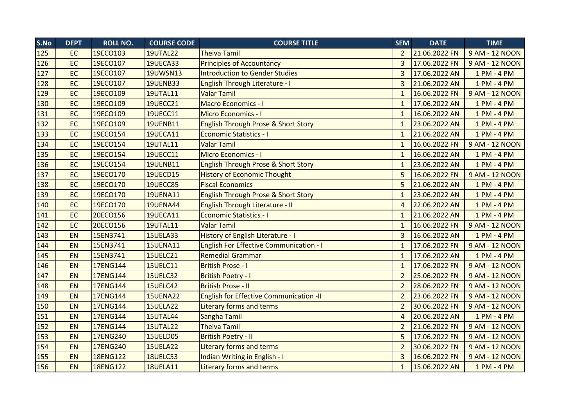| S.No | <b>DEPT</b> | <b>ROLL NO.</b> | <b>COURSE CODE</b> | <b>COURSE TITLE</b>                            | <b>SEM</b>     | <b>DATE</b>   | <b>TIME</b>    |
|------|-------------|-----------------|--------------------|------------------------------------------------|----------------|---------------|----------------|
| 125  | <b>EC</b>   | 19ECO103        | <b>19UTAL22</b>    | <b>Theiva Tamil</b>                            | $\overline{2}$ | 21.06.2022 FN | 9 AM - 12 NOON |
| 126  | <b>EC</b>   | 19ECO107        | 19UECA33           | <b>Principles of Accountancy</b>               | $\overline{3}$ | 17.06.2022 FN | 9 AM - 12 NOON |
| 127  | <b>EC</b>   | 19ECO107        | <b>19UWSN13</b>    | Introduction to Gender Studies                 | 3              | 17.06.2022 AN | 1 PM - 4 PM    |
| 128  | EC          | 19ECO107        | <b>19UENB33</b>    | <b>English Through Literature - I</b>          | 3              | 21.06.2022 AN | 1 PM - 4 PM    |
| 129  | EC          | 19ECO109        | <b>19UTAL11</b>    | <b>Valar Tamil</b>                             | $\mathbf{1}$   | 16.06.2022 FN | 9 AM - 12 NOON |
| 130  | <b>EC</b>   | 19ECO109        | 19UECC21           | <b>Macro Economics - I</b>                     | $\mathbf{1}$   | 17.06.2022 AN | 1 PM - 4 PM    |
| 131  | EC          | 19ECO109        | 19UECC11           | <b>Micro Economics - I</b>                     | $\mathbf{1}$   | 16.06.2022 AN | 1 PM - 4 PM    |
| 132  | <b>EC</b>   | 19ECO109        | <b>19UENB11</b>    | <b>English Through Prose &amp; Short Story</b> | 1              | 23.06.2022 AN | 1 PM - 4 PM    |
| 133  | <b>EC</b>   | 19ECO154        | 19UECA11           | <b>Economic Statistics - I</b>                 | $\mathbf{1}$   | 21.06.2022 AN | 1 PM - 4 PM    |
| 134  | <b>EC</b>   | 19ECO154        | <b>19UTAL11</b>    | <b>Valar Tamil</b>                             | $\mathbf{1}$   | 16.06.2022 FN | 9 AM - 12 NOON |
| 135  | EC          | 19ECO154        | <b>19UECC11</b>    | <b>Micro Economics - I</b>                     | $\mathbf{1}$   | 16.06.2022 AN | 1 PM - 4 PM    |
| 136  | <b>EC</b>   | 19ECO154        | <b>19UENB11</b>    | <b>English Through Prose &amp; Short Story</b> | $\mathbf{1}$   | 23.06.2022 AN | 1 PM - 4 PM    |
| 137  | EC          | 19ECO170        | <b>19UECD15</b>    | <b>History of Economic Thought</b>             | 5              | 16.06.2022 FN | 9 AM - 12 NOON |
| 138  | <b>EC</b>   | 19ECO170        | <b>19UECC85</b>    | <b>Fiscal Economics</b>                        | 5              | 21.06.2022 AN | 1 PM - 4 PM    |
| 139  | EC          | 19ECO170        | <b>19UENA11</b>    | <b>English Through Prose &amp; Short Story</b> | $\mathbf{1}$   | 23.06.2022 AN | 1 PM - 4 PM    |
| 140  | EC          | 19ECO170        | <b>19UENA44</b>    | English Through Literature - II                | $\overline{4}$ | 22.06.2022 AN | 1 PM - 4 PM    |
| 141  | EC          | <b>20ECO156</b> | <b>19UECA11</b>    | <b>Economic Statistics - I</b>                 | $\mathbf{1}$   | 21.06.2022 AN | 1 PM - 4 PM    |
| 142  | <b>EC</b>   | 20ECO156        | <b>19UTAL11</b>    | <b>Valar Tamil</b>                             | $\mathbf{1}$   | 16.06.2022 FN | 9 AM - 12 NOON |
| 143  | EN          | 15EN3741        | <b>15UELA33</b>    | History of English Literature - I              | 3              | 16.06.2022 AN | 1 PM - 4 PM    |
| 144  | EN          | 15EN3741        | <b>15UENA11</b>    | <b>English For Effective Communication - I</b> | $\mathbf{1}$   | 17.06.2022 FN | 9 AM - 12 NOON |
| 145  | <b>EN</b>   | 15EN3741        | <b>15UELC21</b>    | <b>Remedial Grammar</b>                        | $\mathbf{1}$   | 17.06.2022 AN | 1 PM - 4 PM    |
| 146  | EN          | 17ENG144        | <b>15UELC11</b>    | <b>British Prose - I</b>                       | $\mathbf{1}$   | 17.06.2022 FN | 9 AM - 12 NOON |
| 147  | <b>EN</b>   | 17ENG144        | 15UELC32           | <b>British Poetry - I</b>                      | $\overline{2}$ | 25.06.2022 FN | 9 AM - 12 NOON |
| 148  | EN          | 17ENG144        | <b>15UELC42</b>    | <b>British Prose - II</b>                      | $\overline{2}$ | 28.06.2022 FN | 9 AM - 12 NOON |
| 149  | <b>EN</b>   | 17ENG144        | <b>15UENA22</b>    | <b>English for Effective Communication -II</b> | $\overline{2}$ | 23.06.2022 FN | 9 AM - 12 NOON |
| 150  | <b>EN</b>   | 17ENG144        | <b>15UELA22</b>    | <b>Literary forms and terms</b>                | 2              | 30.06.2022 FN | 9 AM - 12 NOON |
| 151  | <b>EN</b>   | 17ENG144        | <b>15UTAL44</b>    | Sangha Tamil                                   | $\overline{4}$ | 20.06.2022 AN | 1 PM - 4 PM    |
| 152  | <b>EN</b>   | 17ENG144        | <b>15UTAL22</b>    | <b>Theiva Tamil</b>                            | $\overline{2}$ | 21.06.2022 FN | 9 AM - 12 NOON |
| 153  | <b>EN</b>   | 17ENG240        | <b>15UELD05</b>    | <b>British Poetry - II</b>                     | 5              | 17.06.2022 FN | 9 AM - 12 NOON |
| 154  | <b>EN</b>   | 17ENG240        | <b>15UELA22</b>    | <b>Literary forms and terms</b>                | $\overline{2}$ | 30.06.2022 FN | 9 AM - 12 NOON |
| 155  | <b>EN</b>   | <b>18ENG122</b> | <b>18UELC53</b>    | Indian Writing in English - I                  | 3              | 16.06.2022 FN | 9 AM - 12 NOON |
| 156  | <b>EN</b>   | 18ENG122        | <b>18UELA11</b>    | <b>Literary forms and terms</b>                | $\mathbf{1}$   | 15.06.2022 AN | 1 PM - 4 PM    |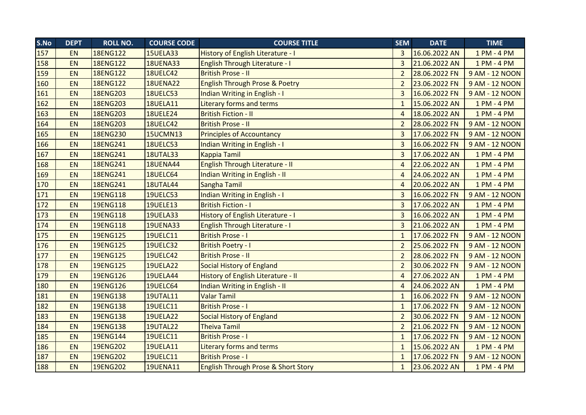| S.No | <b>DEPT</b> | <b>ROLL NO.</b> | <b>COURSE CODE</b> | <b>COURSE TITLE</b>                            | <b>SEM</b>     | <b>DATE</b>   | <b>TIME</b>    |
|------|-------------|-----------------|--------------------|------------------------------------------------|----------------|---------------|----------------|
| 157  | EN          | 18ENG122        | <b>15UELA33</b>    | History of English Literature - I              | 3              | 16.06.2022 AN | 1 PM - 4 PM    |
| 158  | <b>EN</b>   | <b>18ENG122</b> | <b>18UENA33</b>    | <b>English Through Literature - I</b>          | $\overline{3}$ | 21.06.2022 AN | 1 PM - 4 PM    |
| 159  | <b>EN</b>   | <b>18ENG122</b> | <b>18UELC42</b>    | <b>British Prose - II</b>                      | $\overline{2}$ | 28.06.2022 FN | 9 AM - 12 NOON |
| 160  | <b>EN</b>   | 18ENG122        | <b>18UENA22</b>    | <b>English Through Prose &amp; Poetry</b>      | $\overline{2}$ | 23.06.2022 FN | 9 AM - 12 NOON |
| 161  | <b>EN</b>   | <b>18ENG203</b> | <b>18UELC53</b>    | Indian Writing in English - I                  | 3              | 16.06.2022 FN | 9 AM - 12 NOON |
| 162  | <b>EN</b>   | 18ENG203        | <b>18UELA11</b>    | <b>Literary forms and terms</b>                | $\mathbf{1}$   | 15.06.2022 AN | 1 PM - 4 PM    |
| 163  | EN          | 18ENG203        | <b>18UELE24</b>    | <b>British Fiction - II</b>                    | $\overline{4}$ | 18.06.2022 AN | 1 PM - 4 PM    |
| 164  | EN          | 18ENG203        | <b>18UELC42</b>    | <b>British Prose - II</b>                      | $\overline{2}$ | 28.06.2022 FN | 9 AM - 12 NOON |
| 165  | <b>EN</b>   | 18ENG230        | <b>15UCMN13</b>    | <b>Principles of Accountancy</b>               | $\overline{3}$ | 17.06.2022 FN | 9 AM - 12 NOON |
| 166  | EN          | 18ENG241        | <b>18UELC53</b>    | Indian Writing in English - I                  | $\overline{3}$ | 16.06.2022 FN | 9 AM - 12 NOON |
| 167  | <b>EN</b>   | 18ENG241        | <b>18UTAL33</b>    | <b>Kappia Tamil</b>                            | 3              | 17.06.2022 AN | 1 PM - 4 PM    |
| 168  | EN          | 18ENG241        | <b>18UENA44</b>    | English Through Literature - II                | 4              | 22.06.2022 AN | 1 PM - 4 PM    |
| 169  | <b>EN</b>   | 18ENG241        | 18UELC64           | Indian Writing in English - II                 | $\overline{4}$ | 24.06.2022 AN | 1 PM - 4 PM    |
| 170  | <b>EN</b>   | 18ENG241        | <b>18UTAL44</b>    | Sangha Tamil                                   | $\overline{4}$ | 20.06.2022 AN | 1 PM - 4 PM    |
| 171  | <b>EN</b>   | 19ENG118        | <b>19UELC53</b>    | Indian Writing in English - I                  | 3              | 16.06.2022 FN | 9 AM - 12 NOON |
| 172  | <b>EN</b>   | 19ENG118        | <b>19UELE13</b>    | <b>British Fiction - I</b>                     | $\overline{3}$ | 17.06.2022 AN | 1 PM - 4 PM    |
| 173  | <b>EN</b>   | 19ENG118        | <b>19UELA33</b>    | History of English Literature - I              | 3              | 16.06.2022 AN | 1 PM - 4 PM    |
| 174  | <b>EN</b>   | 19ENG118        | <b>19UENA33</b>    | <b>English Through Literature - I</b>          | 3              | 21.06.2022 AN | 1 PM - 4 PM    |
| 175  | <b>EN</b>   | 19ENG125        | <b>19UELC11</b>    | <b>British Prose - I</b>                       | $\mathbf{1}$   | 17.06.2022 FN | 9 AM - 12 NOON |
| 176  | EN          | 19ENG125        | <b>19UELC32</b>    | <b>British Poetry - I</b>                      | $\overline{2}$ | 25.06.2022 FN | 9 AM - 12 NOON |
| 177  | EN          | 19ENG125        | <b>19UELC42</b>    | <b>British Prose - II</b>                      | $\overline{2}$ | 28.06.2022 FN | 9 AM - 12 NOON |
| 178  | EN          | 19ENG125        | <b>19UELA22</b>    | <b>Social History of England</b>               | $\overline{2}$ | 30.06.2022 FN | 9 AM - 12 NOON |
| 179  | <b>EN</b>   | 19ENG126        | <b>19UELA44</b>    | <b>History of English Literature - II</b>      | 4              | 27.06.2022 AN | 1 PM - 4 PM    |
| 180  | EN          | 19ENG126        | <b>19UELC64</b>    | <b>Indian Writing in English - II</b>          | 4              | 24.06.2022 AN | 1 PM - 4 PM    |
| 181  | <b>EN</b>   | 19ENG138        | <b>19UTAL11</b>    | <b>Valar Tamil</b>                             | $\mathbf{1}$   | 16.06.2022 FN | 9 AM - 12 NOON |
| 182  | <b>EN</b>   | 19ENG138        | <b>19UELC11</b>    | <b>British Prose - I</b>                       | $\mathbf{1}$   | 17.06.2022 FN | 9 AM - 12 NOON |
| 183  | <b>EN</b>   | 19ENG138        | <b>19UELA22</b>    | <b>Social History of England</b>               | $\overline{2}$ | 30.06.2022 FN | 9 AM - 12 NOON |
| 184  | <b>EN</b>   | 19ENG138        | <b>19UTAL22</b>    | <b>Theiva Tamil</b>                            | $\overline{2}$ | 21.06.2022 FN | 9 AM - 12 NOON |
| 185  | <b>EN</b>   | 19ENG144        | <b>19UELC11</b>    | <b>British Prose - I</b>                       | $\mathbf{1}$   | 17.06.2022 FN | 9 AM - 12 NOON |
| 186  | <b>EN</b>   | 19ENG202        | <b>19UELA11</b>    | Literary forms and terms                       | $\mathbf{1}$   | 15.06.2022 AN | 1 PM - 4 PM    |
| 187  | EN          | <b>19ENG202</b> | <b>19UELC11</b>    | <b>British Prose - I</b>                       | $\mathbf{1}$   | 17.06.2022 FN | 9 AM - 12 NOON |
| 188  | <b>EN</b>   | 19ENG202        | <b>19UENA11</b>    | <b>English Through Prose &amp; Short Story</b> | $\mathbf{1}$   | 23.06.2022 AN | 1 PM - 4 PM    |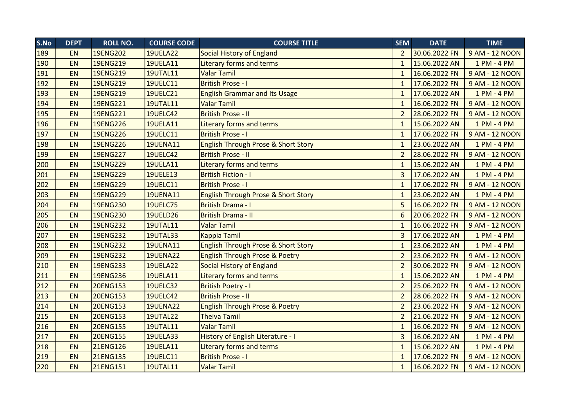| S.No | <b>DEPT</b> | <b>ROLL NO.</b> | <b>COURSE CODE</b> | <b>COURSE TITLE</b>                            | <b>SEM</b>     | <b>DATE</b>   | <b>TIME</b>    |
|------|-------------|-----------------|--------------------|------------------------------------------------|----------------|---------------|----------------|
| 189  | <b>EN</b>   | <b>19ENG202</b> | <b>19UELA22</b>    | <b>Social History of England</b>               | $\overline{2}$ | 30.06.2022 FN | 9 AM - 12 NOON |
| 190  | EN          | 19ENG219        | <b>19UELA11</b>    | <b>Literary forms and terms</b>                | $\mathbf{1}$   | 15.06.2022 AN | 1 PM - 4 PM    |
| 191  | EN          | 19ENG219        | 19UTAL11           | <b>Valar Tamil</b>                             | $\mathbf{1}$   | 16.06.2022 FN | 9 AM - 12 NOON |
| 192  | EN          | 19ENG219        | <b>19UELC11</b>    | <b>British Prose - I</b>                       | $\mathbf{1}$   | 17.06.2022 FN | 9 AM - 12 NOON |
| 193  | <b>EN</b>   | 19ENG219        | <b>19UELC21</b>    | <b>English Grammar and Its Usage</b>           | $\mathbf{1}$   | 17.06.2022 AN | 1 PM - 4 PM    |
| 194  | <b>EN</b>   | 19ENG221        | <b>19UTAL11</b>    | <b>Valar Tamil</b>                             | $\mathbf{1}$   | 16.06.2022 FN | 9 AM - 12 NOON |
| 195  | <b>EN</b>   | 19ENG221        | <b>19UELC42</b>    | <b>British Prose - II</b>                      | $\overline{2}$ | 28.06.2022 FN | 9 AM - 12 NOON |
| 196  | <b>EN</b>   | 19ENG226        | <b>19UELA11</b>    | <b>Literary forms and terms</b>                | $\mathbf{1}$   | 15.06.2022 AN | 1 PM - 4 PM    |
| 197  | <b>EN</b>   | 19ENG226        | <b>19UELC11</b>    | <b>British Prose - I</b>                       | $\mathbf{1}$   | 17.06.2022 FN | 9 AM - 12 NOON |
| 198  | <b>EN</b>   | <b>19ENG226</b> | <b>19UENA11</b>    | <b>English Through Prose &amp; Short Story</b> | $\mathbf{1}$   | 23.06.2022 AN | 1 PM - 4 PM    |
| 199  | EN          | 19ENG227        | <b>19UELC42</b>    | <b>British Prose - II</b>                      | $\overline{2}$ | 28.06.2022 FN | 9 AM - 12 NOON |
| 200  | <b>EN</b>   | 19ENG229        | <b>19UELA11</b>    | <b>Literary forms and terms</b>                | $\mathbf{1}$   | 15.06.2022 AN | 1 PM - 4 PM    |
| 201  | EN          | 19ENG229        | <b>19UELE13</b>    | <b>British Fiction - I</b>                     | $\overline{3}$ | 17.06.2022 AN | 1 PM - 4 PM    |
| 202  | <b>EN</b>   | 19ENG229        | 19UELC11           | <b>British Prose - I</b>                       | $\mathbf{1}$   | 17.06.2022 FN | 9 AM - 12 NOON |
| 203  | <b>EN</b>   | 19ENG229        | <b>19UENA11</b>    | <b>English Through Prose &amp; Short Story</b> | $\mathbf{1}$   | 23.06.2022 AN | 1 PM - 4 PM    |
| 204  | EN          | 19ENG230        | <b>19UELC75</b>    | <b>British Drama - I</b>                       | 5              | 16.06.2022 FN | 9 AM - 12 NOON |
| 205  | <b>EN</b>   | 19ENG230        | <b>19UELD26</b>    | <b>British Drama - II</b>                      | 6              | 20.06.2022 FN | 9 AM - 12 NOON |
| 206  | <b>EN</b>   | 19ENG232        | <b>19UTAL11</b>    | <b>Valar Tamil</b>                             | $\mathbf{1}$   | 16.06.2022 FN | 9 AM - 12 NOON |
| 207  | EN          | 19ENG232        | <b>19UTAL33</b>    | <b>Kappia Tamil</b>                            | 3              | 17.06.2022 AN | 1 PM - 4 PM    |
| 208  | EN          | 19ENG232        | <b>19UENA11</b>    | <b>English Through Prose &amp; Short Story</b> | $\mathbf{1}$   | 23.06.2022 AN | 1 PM - 4 PM    |
| 209  | <b>EN</b>   | 19ENG232        | <b>19UENA22</b>    | <b>English Through Prose &amp; Poetry</b>      | $\overline{2}$ | 23.06.2022 FN | 9 AM - 12 NOON |
| 210  | <b>EN</b>   | 19ENG233        | <b>19UELA22</b>    | <b>Social History of England</b>               | $\overline{2}$ | 30.06.2022 FN | 9 AM - 12 NOON |
| 211  | <b>EN</b>   | 19ENG236        | <b>19UELA11</b>    | <b>Literary forms and terms</b>                | $\mathbf{1}$   | 15.06.2022 AN | 1 PM - 4 PM    |
| 212  | EN          | <b>20ENG153</b> | <b>19UELC32</b>    | <b>British Poetry - I</b>                      | $\overline{2}$ | 25.06.2022 FN | 9 AM - 12 NOON |
| 213  | <b>EN</b>   | <b>20ENG153</b> | <b>19UELC42</b>    | <b>British Prose - II</b>                      | $\overline{2}$ | 28.06.2022 FN | 9 AM - 12 NOON |
| 214  | <b>EN</b>   | <b>20ENG153</b> | <b>19UENA22</b>    | <b>English Through Prose &amp; Poetry</b>      | $\overline{2}$ | 23.06.2022 FN | 9 AM - 12 NOON |
| 215  | <b>EN</b>   | <b>20ENG153</b> | <b>19UTAL22</b>    | <b>Theiva Tamil</b>                            | $\overline{2}$ | 21.06.2022 FN | 9 AM - 12 NOON |
| 216  | <b>EN</b>   | <b>20ENG155</b> | <b>19UTAL11</b>    | <b>Valar Tamil</b>                             | $\mathbf{1}$   | 16.06.2022 FN | 9 AM - 12 NOON |
| 217  | <b>EN</b>   | <b>20ENG155</b> | <b>19UELA33</b>    | <b>History of English Literature - I</b>       | 3              | 16.06.2022 AN | 1 PM - 4 PM    |
| 218  | <b>EN</b>   | <b>21ENG126</b> | <b>19UELA11</b>    | <b>Literary forms and terms</b>                | $\mathbf{1}$   | 15.06.2022 AN | 1 PM - 4 PM    |
| 219  | <b>EN</b>   | <b>21ENG135</b> | <b>19UELC11</b>    | <b>British Prose - I</b>                       | $\mathbf{1}$   | 17.06.2022 FN | 9 AM - 12 NOON |
| 220  | <b>EN</b>   | 21ENG151        | <b>19UTAL11</b>    | <b>Valar Tamil</b>                             | $\mathbf{1}$   | 16.06.2022 FN | 9 AM - 12 NOON |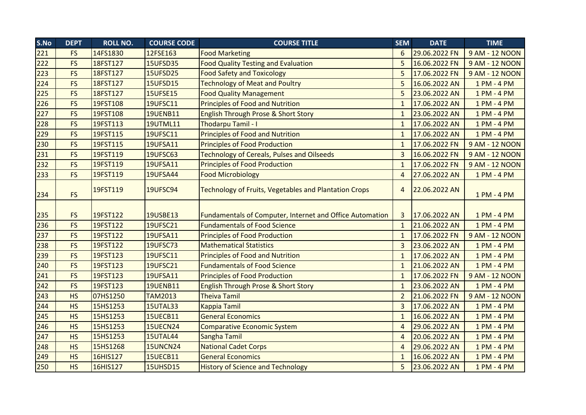| S.No | <b>DEPT</b> | <b>ROLL NO.</b> | <b>COURSE CODE</b> | <b>COURSE TITLE</b>                                             | <b>SEM</b>             | <b>DATE</b>   | <b>TIME</b>    |
|------|-------------|-----------------|--------------------|-----------------------------------------------------------------|------------------------|---------------|----------------|
| 221  | <b>FS</b>   | 14FS1830        | 12FSE163           | <b>Food Marketing</b>                                           | 6                      | 29.06.2022 FN | 9 AM - 12 NOON |
| 222  | <b>FS</b>   | 18FST127        | <b>15UFSD35</b>    | <b>Food Quality Testing and Evaluation</b>                      | 5                      | 16.06.2022 FN | 9 AM - 12 NOON |
| 223  | <b>FS</b>   | 18FST127        | <b>15UFSD25</b>    | <b>Food Safety and Toxicology</b>                               | 5                      | 17.06.2022 FN | 9 AM - 12 NOON |
| 224  | <b>FS</b>   | 18FST127        | <b>15UFSD15</b>    | <b>Technology of Meat and Poultry</b>                           | 5                      | 16.06.2022 AN | 1 PM - 4 PM    |
| 225  | <b>FS</b>   | 18FST127        | <b>15UFSE15</b>    | <b>Food Quality Management</b>                                  | 5                      | 23.06.2022 AN | 1 PM - 4 PM    |
| 226  | <b>FS</b>   | 19FST108        | <b>19UFSC11</b>    | <b>Principles of Food and Nutrition</b>                         | $\mathbf{1}$           | 17.06.2022 AN | 1 PM - 4 PM    |
| 227  | <b>FS</b>   | 19FST108        | <b>19UENB11</b>    | English Through Prose & Short Story                             | $\mathbf{1}$           | 23.06.2022 AN | 1 PM - 4 PM    |
| 228  | <b>FS</b>   | 19FST113        | <b>19UTML11</b>    | Thodarpu Tamil - I                                              | $\overline{1}$         | 17.06.2022 AN | 1 PM - 4 PM    |
| 229  | <b>FS</b>   | 19FST115        | <b>19UFSC11</b>    | <b>Principles of Food and Nutrition</b>                         | $\mathbf{1}$           | 17.06.2022 AN | 1 PM - 4 PM    |
| 230  | <b>FS</b>   | 19FST115        | <b>19UFSA11</b>    | <b>Principles of Food Production</b>                            | $\overline{1}$         | 17.06.2022 FN | 9 AM - 12 NOON |
| 231  | <b>FS</b>   | 19FST119        | <b>19UFSC63</b>    | <b>Technology of Cereals, Pulses and Oilseeds</b>               | 3                      | 16.06.2022 FN | 9 AM - 12 NOON |
| 232  | <b>FS</b>   | 19FST119        | <b>19UFSA11</b>    | <b>Principles of Food Production</b>                            | $\mathbf{1}$           | 17.06.2022 FN | 9 AM - 12 NOON |
| 233  | <b>FS</b>   | 19FST119        | <b>19UFSA44</b>    | <b>Food Microbiology</b>                                        | 4                      | 27.06.2022 AN | 1 PM - 4 PM    |
| 234  | <b>FS</b>   | 19FST119        | <b>19UFSC94</b>    | <b>Technology of Fruits, Vegetables and Plantation Crops</b>    | 4                      | 22.06.2022 AN | 1 PM - 4 PM    |
| 235  | <b>FS</b>   | 19FST122        | 19USBE13           | <b>Fundamentals of Computer, Internet and Office Automation</b> | 3                      | 17.06.2022 AN | 1 PM - 4 PM    |
| 236  | <b>FS</b>   | 19FST122        | <b>19UFSC21</b>    | <b>Fundamentals of Food Science</b>                             | $\mathbf{1}$           | 21.06.2022 AN | 1 PM - 4 PM    |
| 237  | <b>FS</b>   | 19FST122        | <b>19UFSA11</b>    | <b>Principles of Food Production</b>                            | $\mathbf{1}$           | 17.06.2022 FN | 9 AM - 12 NOON |
| 238  | <b>FS</b>   | 19FST122        | <b>19UFSC73</b>    | <b>Mathematical Statistics</b>                                  | $\overline{3}$         | 23.06.2022 AN | 1 PM - 4 PM    |
| 239  | <b>FS</b>   | 19FST123        | <b>19UFSC11</b>    | <b>Principles of Food and Nutrition</b>                         | $\overline{1}$         | 17.06.2022 AN | 1 PM - 4 PM    |
| 240  | <b>FS</b>   | 19FST123        | <b>19UFSC21</b>    | <b>Fundamentals of Food Science</b>                             | $\mathbf{1}$           | 21.06.2022 AN | 1 PM - 4 PM    |
| 241  | <b>FS</b>   | 19FST123        | <b>19UFSA11</b>    | <b>Principles of Food Production</b>                            | $\mathbf{1}$           | 17.06.2022 FN | 9 AM - 12 NOON |
| 242  | <b>FS</b>   | 19FST123        | <b>19UENB11</b>    | English Through Prose & Short Story                             | $\mathbf{1}$           | 23.06.2022 AN | 1 PM - 4 PM    |
| 243  | <b>HS</b>   | 07HS1250        | <b>TAM2013</b>     | <b>Theiva Tamil</b>                                             | $\overline{2}$         | 21.06.2022 FN | 9 AM - 12 NOON |
| 244  | <b>HS</b>   | 15HS1253        | <b>15UTAL33</b>    | <b>Kappia Tamil</b>                                             | 3                      | 17.06.2022 AN | 1 PM - 4 PM    |
| 245  | <b>HS</b>   | 15HS1253        | <b>15UECB11</b>    | <b>General Economics</b>                                        | $\mathbf{1}$           | 16.06.2022 AN | 1 PM - 4 PM    |
| 246  | <b>HS</b>   | 15HS1253        | <b>15UECN24</b>    | <b>Comparative Economic System</b>                              | $\overline{4}$         | 29.06.2022 AN | 1 PM - 4 PM    |
| 247  | <b>HS</b>   | 15HS1253        | <b>15UTAL44</b>    | Sangha Tamil                                                    | $\boldsymbol{\Lambda}$ | 20.06.2022 AN | 1 PM - 4 PM    |
| 248  | <b>HS</b>   | 15HS1268        | <b>15UNCN24</b>    | <b>National Cadet Corps</b>                                     | $\overline{a}$         | 29.06.2022 AN | 1 PM - 4 PM    |
| 249  | <b>HS</b>   | 16HIS127        | <b>15UECB11</b>    | <b>General Economics</b>                                        | $\mathbf{1}$           | 16.06.2022 AN | 1 PM - 4 PM    |
| 250  | <b>HS</b>   | 16HIS127        | 15UHSD15           | <b>History of Science and Technology</b>                        | 5                      | 23.06.2022 AN | 1 PM - 4 PM    |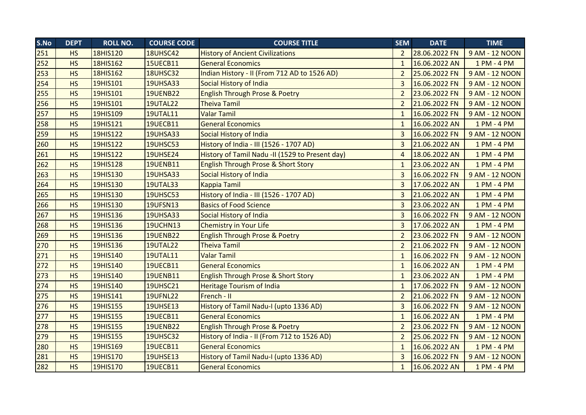| S.No | <b>DEPT</b> | <b>ROLL NO.</b> | <b>COURSE CODE</b> | <b>COURSE TITLE</b>                             | <b>SEM</b>     | <b>DATE</b>   | <b>TIME</b>    |
|------|-------------|-----------------|--------------------|-------------------------------------------------|----------------|---------------|----------------|
| 251  | <b>HS</b>   | <b>18HIS120</b> | <b>18UHSC42</b>    | <b>History of Ancient Civilizations</b>         | $\overline{2}$ | 28.06.2022 FN | 9 AM - 12 NOON |
| 252  | <b>HS</b>   | 18HIS162        | <b>15UECB11</b>    | <b>General Economics</b>                        | $\mathbf{1}$   | 16.06.2022 AN | 1 PM - 4 PM    |
| 253  | <b>HS</b>   | <b>18HIS162</b> | <b>18UHSC32</b>    | Indian History - II (From 712 AD to 1526 AD)    | $\overline{2}$ | 25.06.2022 FN | 9 AM - 12 NOON |
| 254  | <b>HS</b>   | 19HIS101        | <b>19UHSA33</b>    | Social History of India                         | 3              | 16.06.2022 FN | 9 AM - 12 NOON |
| 255  | <b>HS</b>   | 19HIS101        | <b>19UENB22</b>    | <b>English Through Prose &amp; Poetry</b>       | $\overline{2}$ | 23.06.2022 FN | 9 AM - 12 NOON |
| 256  | <b>HS</b>   | 19HIS101        | <b>19UTAL22</b>    | <b>Theiva Tamil</b>                             | $\overline{2}$ | 21.06.2022 FN | 9 AM - 12 NOON |
| 257  | <b>HS</b>   | 19HIS109        | <b>19UTAL11</b>    | <b>Valar Tamil</b>                              | $\mathbf{1}$   | 16.06.2022 FN | 9 AM - 12 NOON |
| 258  | <b>HS</b>   | 19HIS121        | <b>19UECB11</b>    | <b>General Economics</b>                        | 1              | 16.06.2022 AN | 1 PM - 4 PM    |
| 259  | <b>HS</b>   | 19HIS122        | <b>19UHSA33</b>    | <b>Social History of India</b>                  | 3              | 16.06.2022 FN | 9 AM - 12 NOON |
| 260  | <b>HS</b>   | 19HIS122        | <b>19UHSC53</b>    | History of India - III (1526 - 1707 AD)         | $\overline{3}$ | 21.06.2022 AN | 1 PM - 4 PM    |
| 261  | <b>HS</b>   | 19HIS122        | <b>19UHSE24</b>    | History of Tamil Nadu -II (1529 to Present day) | $\overline{4}$ | 18.06.2022 AN | 1 PM - 4 PM    |
| 262  | <b>HS</b>   | <b>19HIS128</b> | <b>19UENB11</b>    | <b>English Through Prose &amp; Short Story</b>  | $\mathbf{1}$   | 23.06.2022 AN | 1 PM - 4 PM    |
| 263  | <b>HS</b>   | 19HIS130        | <b>19UHSA33</b>    | Social History of India                         | $\overline{3}$ | 16.06.2022 FN | 9 AM - 12 NOON |
| 264  | <b>HS</b>   | 19HIS130        | <b>19UTAL33</b>    | <b>Kappia Tamil</b>                             | $\overline{3}$ | 17.06.2022 AN | 1 PM - 4 PM    |
| 265  | <b>HS</b>   | 19HIS130        | <b>19UHSC53</b>    | History of India - III (1526 - 1707 AD)         | 3              | 21.06.2022 AN | 1 PM - 4 PM    |
| 266  | <b>HS</b>   | 19HIS130        | <b>19UFSN13</b>    | <b>Basics of Food Science</b>                   | 3              | 23.06.2022 AN | 1 PM - 4 PM    |
| 267  | <b>HS</b>   | 19HIS136        | <b>19UHSA33</b>    | Social History of India                         | 3              | 16.06.2022 FN | 9 AM - 12 NOON |
| 268  | <b>HS</b>   | 19HIS136        | <b>19UCHN13</b>    | <b>Chemistry in Your Life</b>                   | 3              | 17.06.2022 AN | 1 PM - 4 PM    |
| 269  | <b>HS</b>   | 19HIS136        | <b>19UENB22</b>    | <b>English Through Prose &amp; Poetry</b>       | $\overline{2}$ | 23.06.2022 FN | 9 AM - 12 NOON |
| 270  | <b>HS</b>   | 19HIS136        | <b>19UTAL22</b>    | <b>Theiva Tamil</b>                             | $\overline{2}$ | 21.06.2022 FN | 9 AM - 12 NOON |
| 271  | <b>HS</b>   | 19HIS140        | <b>19UTAL11</b>    | <b>Valar Tamil</b>                              | $\mathbf{1}$   | 16.06.2022 FN | 9 AM - 12 NOON |
| 272  | <b>HS</b>   | 19HIS140        | <b>19UECB11</b>    | <b>General Economics</b>                        | 1              | 16.06.2022 AN | 1 PM - 4 PM    |
| 273  | <b>HS</b>   | 19HIS140        | <b>19UENB11</b>    | <b>English Through Prose &amp; Short Story</b>  | $\mathbf{1}$   | 23.06.2022 AN | 1 PM - 4 PM    |
| 274  | <b>HS</b>   | 19HIS140        | <b>19UHSC21</b>    | <b>Heritage Tourism of India</b>                | $\mathbf{1}$   | 17.06.2022 FN | 9 AM - 12 NOON |
| 275  | <b>HS</b>   | 19HIS141        | <b>19UFNL22</b>    | French - II                                     | $\overline{2}$ | 21.06.2022 FN | 9 AM - 12 NOON |
| 276  | <b>HS</b>   | 19HIS155        | <b>19UHSE13</b>    | History of Tamil Nadu-I (upto 1336 AD)          | 3              | 16.06.2022 FN | 9 AM - 12 NOON |
| 277  | <b>HS</b>   | 19HIS155        | <b>19UECB11</b>    | <b>General Economics</b>                        | $\mathbf{1}$   | 16.06.2022 AN | 1 PM - 4 PM    |
| 278  | <b>HS</b>   | 19HIS155        | <b>19UENB22</b>    | English Through Prose & Poetry                  | $\overline{2}$ | 23.06.2022 FN | 9 AM - 12 NOON |
| 279  | <b>HS</b>   | 19HIS155        | <b>19UHSC32</b>    | History of India - II (From 712 to 1526 AD)     | $\overline{2}$ | 25.06.2022 FN | 9 AM - 12 NOON |
| 280  | <b>HS</b>   | 19HIS169        | <b>19UECB11</b>    | <b>General Economics</b>                        | $\mathbf{1}$   | 16.06.2022 AN | 1 PM - 4 PM    |
| 281  | <b>HS</b>   | 19HIS170        | <b>19UHSE13</b>    | History of Tamil Nadu-I (upto 1336 AD)          | $\overline{3}$ | 16.06.2022 FN | 9 AM - 12 NOON |
| 282  | <b>HS</b>   | 19HIS170        | <b>19UECB11</b>    | <b>General Economics</b>                        | $\mathbf{1}$   | 16.06.2022 AN | 1 PM - 4 PM    |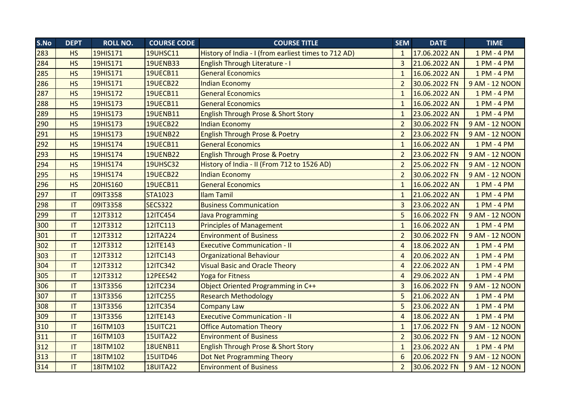| S.No | <b>DEPT</b> | <b>ROLL NO.</b> | <b>COURSE CODE</b> | <b>COURSE TITLE</b>                                  | <b>SEM</b>     | <b>DATE</b>   | <b>TIME</b>    |
|------|-------------|-----------------|--------------------|------------------------------------------------------|----------------|---------------|----------------|
| 283  | <b>HS</b>   | 19HIS171        | <b>19UHSC11</b>    | History of India - I (from earliest times to 712 AD) | $\mathbf{1}$   | 17.06.2022 AN | 1 PM - 4 PM    |
| 284  | <b>HS</b>   | 19HIS171        | <b>19UENB33</b>    | English Through Literature - I                       | $\overline{3}$ | 21.06.2022 AN | 1 PM - 4 PM    |
| 285  | <b>HS</b>   | 19HIS171        | <b>19UECB11</b>    | <b>General Economics</b>                             | $\mathbf{1}$   | 16.06.2022 AN | 1 PM - 4 PM    |
| 286  | <b>HS</b>   | 19HIS171        | <b>19UECB22</b>    | <b>Indian Economy</b>                                | $\overline{2}$ | 30.06.2022 FN | 9 AM - 12 NOON |
| 287  | <b>HS</b>   | 19HIS172        | <b>19UECB11</b>    | <b>General Economics</b>                             | $\mathbf{1}$   | 16.06.2022 AN | 1 PM - 4 PM    |
| 288  | <b>HS</b>   | 19HIS173        | 19UECB11           | <b>General Economics</b>                             | $\mathbf{1}$   | 16.06.2022 AN | 1 PM - 4 PM    |
| 289  | <b>HS</b>   | 19HIS173        | <b>19UENB11</b>    | <b>English Through Prose &amp; Short Story</b>       | $\mathbf{1}$   | 23.06.2022 AN | 1 PM - 4 PM    |
| 290  | <b>HS</b>   | 19HIS173        | <b>19UECB22</b>    | <b>Indian Economy</b>                                | $\overline{2}$ | 30.06.2022 FN | 9 AM - 12 NOON |
| 291  | <b>HS</b>   | 19HIS173        | <b>19UENB22</b>    | English Through Prose & Poetry                       | $\overline{2}$ | 23.06.2022 FN | 9 AM - 12 NOON |
| 292  | <b>HS</b>   | 19HIS174        | <b>19UECB11</b>    | <b>General Economics</b>                             | $\mathbf{1}$   | 16.06.2022 AN | 1 PM - 4 PM    |
| 293  | <b>HS</b>   | 19HIS174        | <b>19UENB22</b>    | <b>English Through Prose &amp; Poetry</b>            | $\overline{2}$ | 23.06.2022 FN | 9 AM - 12 NOON |
| 294  | <b>HS</b>   | 19HIS174        | <b>19UHSC32</b>    | History of India - II (From 712 to 1526 AD)          | $\overline{2}$ | 25.06.2022 FN | 9 AM - 12 NOON |
| 295  | <b>HS</b>   | 19HIS174        | <b>19UECB22</b>    | <b>Indian Economy</b>                                | $\overline{2}$ | 30.06.2022 FN | 9 AM - 12 NOON |
| 296  | <b>HS</b>   | <b>20HIS160</b> | <b>19UECB11</b>    | <b>General Economics</b>                             | $\mathbf{1}$   | 16.06.2022 AN | 1 PM - 4 PM    |
| 297  | IT          | 09IT3358        | STA1023            | <b>Ilam Tamil</b>                                    | $\mathbf{1}$   | 21.06.2022 AN | 1 PM - 4 PM    |
| 298  | IT          | 09IT3358        | <b>SECS322</b>     | <b>Business Communication</b>                        | 3              | 23.06.2022 AN | 1 PM - 4 PM    |
| 299  | IT          | 12IT3312        | 12ITC454           | <b>Java Programming</b>                              | 5              | 16.06.2022 FN | 9 AM - 12 NOON |
| 300  | IT          | 12IT3312        | 12ITC113           | <b>Principles of Management</b>                      | $\mathbf{1}$   | 16.06.2022 AN | 1 PM - 4 PM    |
| 301  | IT          | 12IT3312        | <b>12ITA224</b>    | <b>Environment of Business</b>                       | $\overline{2}$ | 30.06.2022 FN | 9 AM - 12 NOON |
| 302  | IT          | 12IT3312        | 12ITE143           | <b>Executive Communication - II</b>                  | $\overline{4}$ | 18.06.2022 AN | 1 PM - 4 PM    |
| 303  | IT          | 12IT3312        | 12ITC143           | <b>Organizational Behaviour</b>                      | $\overline{4}$ | 20.06.2022 AN | 1 PM - 4 PM    |
| 304  | IT          | 12IT3312        | <b>12ITC342</b>    | <b>Visual Basic and Oracle Theory</b>                | $\overline{4}$ | 22.06.2022 AN | 1 PM - 4 PM    |
| 305  | IT          | 12IT3312        | <b>12PEES42</b>    | <b>Yoga for Fitness</b>                              | $\overline{4}$ | 29.06.2022 AN | 1 PM - 4 PM    |
| 306  | IT          | 13IT3356        | <b>12ITC234</b>    | Object Oriented Programming in C++                   | $\overline{3}$ | 16.06.2022 FN | 9 AM - 12 NOON |
| 307  | IT          | 13IT3356        | <b>12ITC255</b>    | <b>Research Methodology</b>                          | 5              | 21.06.2022 AN | 1 PM - 4 PM    |
| 308  | IT          | 13IT3356        | 12ITC354           | <b>Company Law</b>                                   | 5              | 23.06.2022 AN | 1 PM - 4 PM    |
| 309  | IT          | 13IT3356        | 12ITE143           | <b>Executive Communication - II</b>                  | $\overline{4}$ | 18.06.2022 AN | 1 PM - 4 PM    |
| 310  | IT          | 16ITM103        | <b>15UITC21</b>    | <b>Office Automation Theory</b>                      | $\mathbf{1}$   | 17.06.2022 FN | 9 AM - 12 NOON |
| 311  | IT          | 16ITM103        | <b>15UITA22</b>    | <b>Environment of Business</b>                       | $\overline{2}$ | 30.06.2022 FN | 9 AM - 12 NOON |
| 312  | IT          | 18ITM102        | <b>18UENB11</b>    | <b>English Through Prose &amp; Short Story</b>       | $\mathbf{1}$   | 23.06.2022 AN | 1 PM - 4 PM    |
| 313  | IT          | 18ITM102        | <b>15UITD46</b>    | Dot Net Programming Theory                           | 6              | 20.06.2022 FN | 9 AM - 12 NOON |
| 314  | IT          | 18ITM102        | <b>18UITA22</b>    | <b>Environment of Business</b>                       | $\overline{2}$ | 30.06.2022 FN | 9 AM - 12 NOON |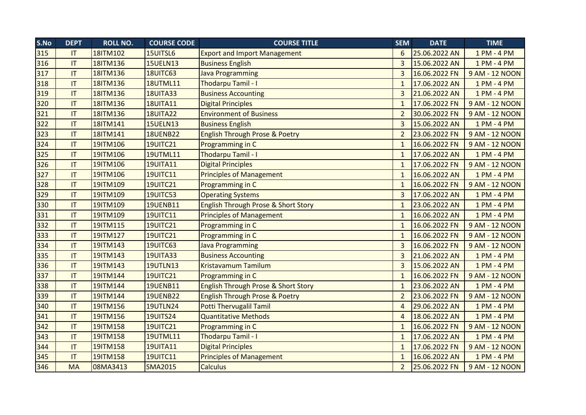| S.No | <b>DEPT</b> | <b>ROLL NO.</b> | <b>COURSE CODE</b> | <b>COURSE TITLE</b>                            | <b>SEM</b>     | <b>DATE</b>   | <b>TIME</b>    |
|------|-------------|-----------------|--------------------|------------------------------------------------|----------------|---------------|----------------|
| 315  | IT          | 18ITM102        | 15UITSL6           | <b>Export and Import Management</b>            | 6              | 25.06.2022 AN | 1 PM - 4 PM    |
| 316  | IT          | 18ITM136        | <b>15UELN13</b>    | <b>Business English</b>                        | $\overline{3}$ | 15.06.2022 AN | 1 PM - 4 PM    |
| 317  | IT          | 18ITM136        | 18UITC63           | <b>Java Programming</b>                        | $\overline{3}$ | 16.06.2022 FN | 9 AM - 12 NOON |
| 318  | IT          | 18ITM136        | <b>18UTML11</b>    | Thodarpu Tamil - I                             | $\mathbf{1}$   | 17.06.2022 AN | 1 PM - 4 PM    |
| 319  | IT          | 18ITM136        | <b>18UITA33</b>    | <b>Business Accounting</b>                     | 3              | 21.06.2022 AN | 1 PM - 4 PM    |
| 320  | IT          | 18ITM136        | <b>18UITA11</b>    | <b>Digital Principles</b>                      | $\mathbf{1}$   | 17.06.2022 FN | 9 AM - 12 NOON |
| 321  | IT          | 18ITM136        | <b>18UITA22</b>    | <b>Environment of Business</b>                 | $\overline{2}$ | 30.06.2022 FN | 9 AM - 12 NOON |
| 322  | IT          | 18ITM141        | <b>15UELN13</b>    | <b>Business English</b>                        | $\overline{3}$ | 15.06.2022 AN | 1 PM - 4 PM    |
| 323  | IT          | 18ITM141        | <b>18UENB22</b>    | <b>English Through Prose &amp; Poetry</b>      | $\overline{2}$ | 23.06.2022 FN | 9 AM - 12 NOON |
| 324  | IT          | 19ITM106        | <b>19UITC21</b>    | Programming in C                               | $\mathbf{1}$   | 16.06.2022 FN | 9 AM - 12 NOON |
| 325  | IT          | 19ITM106        | <b>19UTML11</b>    | Thodarpu Tamil - I                             | $\mathbf{1}$   | 17.06.2022 AN | 1 PM - 4 PM    |
| 326  | IT          | 19ITM106        | <b>19UITA11</b>    | <b>Digital Principles</b>                      | $\mathbf{1}$   | 17.06.2022 FN | 9 AM - 12 NOON |
| 327  | IT          | 19ITM106        | <b>19UITC11</b>    | <b>Principles of Management</b>                | $\mathbf{1}$   | 16.06.2022 AN | 1 PM - 4 PM    |
| 328  | IT          | 19ITM109        | <b>19UITC21</b>    | Programming in C                               | $\mathbf{1}$   | 16.06.2022 FN | 9 AM - 12 NOON |
| 329  | IT          | 19ITM109        | 19UITC53           | <b>Operating Systems</b>                       | 3              | 17.06.2022 AN | 1 PM - 4 PM    |
| 330  | IT          | 19ITM109        | <b>19UENB11</b>    | <b>English Through Prose &amp; Short Story</b> | $\mathbf{1}$   | 23.06.2022 AN | 1 PM - 4 PM    |
| 331  | IT          | 19ITM109        | <b>19UITC11</b>    | <b>Principles of Management</b>                | $\mathbf{1}$   | 16.06.2022 AN | 1 PM - 4 PM    |
| 332  | IT          | 19ITM115        | <b>19UITC21</b>    | Programming in C                               | $\mathbf{1}$   | 16.06.2022 FN | 9 AM - 12 NOON |
| 333  | IT          | 19ITM127        | <b>19UITC21</b>    | Programming in C                               | $\mathbf{1}$   | 16.06.2022 FN | 9 AM - 12 NOON |
| 334  | IT          | 19ITM143        | 19UITC63           | <b>Java Programming</b>                        | 3              | 16.06.2022 FN | 9 AM - 12 NOON |
| 335  | IT          | 19ITM143        | <b>19UITA33</b>    | <b>Business Accounting</b>                     | $\overline{3}$ | 21.06.2022 AN | 1 PM - 4 PM    |
| 336  | IT          | 19ITM143        | <b>19UTLN13</b>    | <b>Kristavamum Tamilum</b>                     | $\overline{3}$ | 15.06.2022 AN | 1 PM - 4 PM    |
| 337  | IT          | 19ITM144        | <b>19UITC21</b>    | Programming in C                               | $\mathbf{1}$   | 16.06.2022 FN | 9 AM - 12 NOON |
| 338  | IT          | 19ITM144        | <b>19UENB11</b>    | <b>English Through Prose &amp; Short Story</b> | $\mathbf{1}$   | 23.06.2022 AN | 1 PM - 4 PM    |
| 339  | IT          | 19ITM144        | <b>19UENB22</b>    | <b>English Through Prose &amp; Poetry</b>      | $\overline{2}$ | 23.06.2022 FN | 9 AM - 12 NOON |
| 340  | IT          | 19ITM156        | <b>19UTLN24</b>    | <b>Potti Thervugalil Tamil</b>                 | 4              | 29.06.2022 AN | 1 PM - 4 PM    |
| 341  | IT          | 19ITM156        | <b>19UITS24</b>    | <b>Quantitative Methods</b>                    | 4              | 18.06.2022 AN | 1 PM - 4 PM    |
| 342  | IT          | 19ITM158        | <b>19UITC21</b>    | Programming in C                               | $\mathbf{1}$   | 16.06.2022 FN | 9 AM - 12 NOON |
| 343  | IT          | 19ITM158        | <b>19UTML11</b>    | Thodarpu Tamil - I                             | $\mathbf{1}$   | 17.06.2022 AN | 1 PM - 4 PM    |
| 344  | IT          | 19ITM158        | <b>19UITA11</b>    | <b>Digital Principles</b>                      | $\mathbf{1}$   | 17.06.2022 FN | 9 AM - 12 NOON |
| 345  | IT          | 19ITM158        | <b>19UITC11</b>    | <b>Principles of Management</b>                | $\mathbf{1}$   | 16.06.2022 AN | 1 PM - 4 PM    |
| 346  | <b>MA</b>   | 08MA3413        | <b>SMA2015</b>     | <b>Calculus</b>                                | $\overline{2}$ | 25.06.2022 FN | 9 AM - 12 NOON |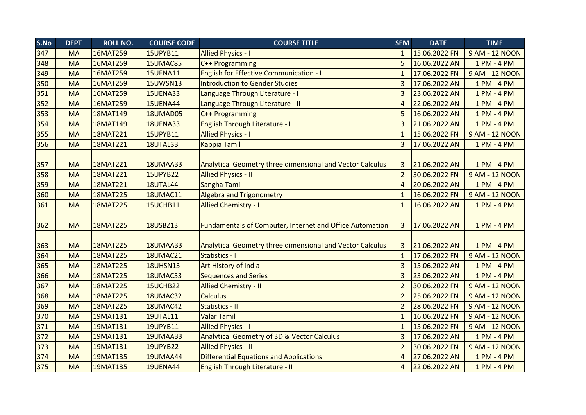| S.No | <b>DEPT</b> | <b>ROLL NO.</b> | <b>COURSE CODE</b> | <b>COURSE TITLE</b>                                             | <b>SEM</b>             | <b>DATE</b>   | <b>TIME</b>    |
|------|-------------|-----------------|--------------------|-----------------------------------------------------------------|------------------------|---------------|----------------|
| 347  | <b>MA</b>   | 16MAT259        | <b>15UPYB11</b>    | <b>Allied Physics - I</b>                                       | $\mathbf{1}$           | 15.06.2022 FN | 9 AM - 12 NOON |
| 348  | <b>MA</b>   | 16MAT259        | 15UMAC85           | C++ Programming                                                 | 5                      | 16.06.2022 AN | 1 PM - 4 PM    |
| 349  | <b>MA</b>   | 16MAT259        | <b>15UENA11</b>    | <b>English for Effective Communication - I</b>                  | $\mathbf{1}$           | 17.06.2022 FN | 9 AM - 12 NOON |
| 350  | <b>MA</b>   | 16MAT259        | <b>15UWSN13</b>    | Introduction to Gender Studies                                  | $\overline{3}$         | 17.06.2022 AN | 1 PM - 4 PM    |
| 351  | <b>MA</b>   | 16MAT259        | <b>15UENA33</b>    | Language Through Literature - I                                 | $\overline{3}$         | 23.06.2022 AN | 1 PM - 4 PM    |
| 352  | <b>MA</b>   | 16MAT259        | <b>15UENA44</b>    | Language Through Literature - II                                | $\overline{a}$         | 22.06.2022 AN | 1 PM - 4 PM    |
| 353  | <b>MA</b>   | 18MAT149        | <b>18UMAD05</b>    | C++ Programming                                                 | 5                      | 16.06.2022 AN | 1 PM - 4 PM    |
| 354  | <b>MA</b>   | 18MAT149        | <b>18UENA33</b>    | English Through Literature - I                                  | $\overline{3}$         | 21.06.2022 AN | 1 PM - 4 PM    |
| 355  | <b>MA</b>   | 18MAT221        | <b>15UPYB11</b>    | <b>Allied Physics - I</b>                                       | $\mathbf{1}$           | 15.06.2022 FN | 9 AM - 12 NOON |
| 356  | <b>MA</b>   | <b>18MAT221</b> | <b>18UTAL33</b>    | <b>Kappia Tamil</b>                                             | $\overline{3}$         | 17.06.2022 AN | 1 PM - 4 PM    |
| 357  | <b>MA</b>   | <b>18MAT221</b> | <b>18UMAA33</b>    | Analytical Geometry three dimensional and Vector Calculus       | 3                      | 21.06.2022 AN | 1 PM - 4 PM    |
| 358  | <b>MA</b>   | <b>18MAT221</b> | 15UPYB22           | <b>Allied Physics - II</b>                                      | $\overline{2}$         | 30.06.2022 FN | 9 AM - 12 NOON |
| 359  | <b>MA</b>   | <b>18MAT221</b> | <b>18UTAL44</b>    | Sangha Tamil                                                    | $\overline{4}$         | 20.06.2022 AN | 1 PM - 4 PM    |
| 360  | <b>MA</b>   | 18MAT225        | <b>18UMAC11</b>    | <b>Algebra and Trigonometry</b>                                 | $\mathbf{1}$           | 16.06.2022 FN | 9 AM - 12 NOON |
| 361  | <b>MA</b>   | <b>18MAT225</b> | 15UCHB11           | <b>Allied Chemistry - I</b>                                     | $\mathbf{1}$           | 16.06.2022 AN | 1 PM - 4 PM    |
| 362  | <b>MA</b>   | 18MAT225        | 18USBZ13           | <b>Fundamentals of Computer, Internet and Office Automation</b> | $\overline{3}$         | 17.06.2022 AN | 1 PM - 4 PM    |
| 363  | <b>MA</b>   | 18MAT225        | <b>18UMAA33</b>    | Analytical Geometry three dimensional and Vector Calculus       | 3                      | 21.06.2022 AN | 1 PM - 4 PM    |
| 364  | <b>MA</b>   | 18MAT225        | 18UMAC21           | Statistics - I                                                  | $\mathbf{1}$           | 17.06.2022 FN | 9 AM - 12 NOON |
| 365  | <b>MA</b>   | 18MAT225        | <b>18UHSN13</b>    | <b>Art History of India</b>                                     | $\overline{3}$         | 15.06.2022 AN | 1 PM - 4 PM    |
| 366  | <b>MA</b>   | <b>18MAT225</b> | 18UMAC53           | <b>Sequences and Series</b>                                     | $\overline{3}$         | 23.06.2022 AN | 1 PM - 4 PM    |
| 367  | <b>MA</b>   | <b>18MAT225</b> | 15UCHB22           | <b>Allied Chemistry - II</b>                                    | $\overline{2}$         | 30.06.2022 FN | 9 AM - 12 NOON |
| 368  | <b>MA</b>   | <b>18MAT225</b> | 18UMAC32           | <b>Calculus</b>                                                 | $\overline{2}$         | 25.06.2022 FN | 9 AM - 12 NOON |
| 369  | <b>MA</b>   | <b>18MAT225</b> | 18UMAC42           | Statistics - II                                                 | $\overline{2}$         | 28.06.2022 FN | 9 AM - 12 NOON |
| 370  | <b>MA</b>   | 19MAT131        | <b>19UTAL11</b>    | <b>Valar Tamil</b>                                              | $\mathbf{1}$           | 16.06.2022 FN | 9 AM - 12 NOON |
| 371  | <b>MA</b>   | 19MAT131        | <b>19UPYB11</b>    | <b>Allied Physics - I</b>                                       | $\mathbf{1}$           | 15.06.2022 FN | 9 AM - 12 NOON |
| 372  | <b>MA</b>   | 19MAT131        | <b>19UMAA33</b>    | Analytical Geometry of 3D & Vector Calculus                     | $\overline{3}$         | 17.06.2022 AN | 1 PM - 4 PM    |
| 373  | <b>MA</b>   | 19MAT131        | <b>19UPYB22</b>    | <b>Allied Physics - II</b>                                      | $\overline{2}$         | 30.06.2022 FN | 9 AM - 12 NOON |
| 374  | <b>MA</b>   | 19MAT135        | <b>19UMAA44</b>    | Differential Equations and Applications                         | $\overline{4}$         | 27.06.2022 AN | 1 PM - 4 PM    |
| 375  | <b>MA</b>   | 19MAT135        | <b>19UENA44</b>    | English Through Literature - II                                 | $\boldsymbol{\Lambda}$ | 22.06.2022 AN | 1 PM - 4 PM    |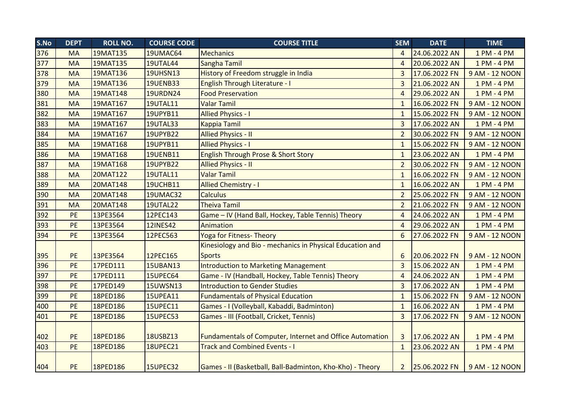| S.No | <b>DEPT</b> | <b>ROLL NO.</b> | <b>COURSE CODE</b> | <b>COURSE TITLE</b>                                             | <b>SEM</b>     | <b>DATE</b>   | <b>TIME</b>    |
|------|-------------|-----------------|--------------------|-----------------------------------------------------------------|----------------|---------------|----------------|
| 376  | <b>MA</b>   | <b>19MAT135</b> | 19UMAC64           | <b>Mechanics</b>                                                | $\overline{4}$ | 24.06.2022 AN | 1 PM - 4 PM    |
| 377  | <b>MA</b>   | 19MAT135        | <b>19UTAL44</b>    | Sangha Tamil                                                    | $\overline{4}$ | 20.06.2022 AN | 1 PM - 4 PM    |
| 378  | <b>MA</b>   | <b>19MAT136</b> | <b>19UHSN13</b>    | History of Freedom struggle in India                            | $\overline{3}$ | 17.06.2022 FN | 9 AM - 12 NOON |
| 379  | <b>MA</b>   | 19MAT136        | <b>19UENB33</b>    | <b>English Through Literature - I</b>                           | 3              | 21.06.2022 AN | 1 PM - 4 PM    |
| 380  | <b>MA</b>   | 19MAT148        | <b>19URDN24</b>    | <b>Food Preservation</b>                                        | $\overline{4}$ | 29.06.2022 AN | 1 PM - 4 PM    |
| 381  | <b>MA</b>   | 19MAT167        | <b>19UTAL11</b>    | <b>Valar Tamil</b>                                              | $\mathbf{1}$   | 16.06.2022 FN | 9 AM - 12 NOON |
| 382  | <b>MA</b>   | 19MAT167        | <b>19UPYB11</b>    | <b>Allied Physics - I</b>                                       | $\mathbf{1}$   | 15.06.2022 FN | 9 AM - 12 NOON |
| 383  | <b>MA</b>   | 19MAT167        | <b>19UTAL33</b>    | <b>Kappia Tamil</b>                                             | 3              | 17.06.2022 AN | 1 PM - 4 PM    |
| 384  | <b>MA</b>   | 19MAT167        | <b>19UPYB22</b>    | <b>Allied Physics - II</b>                                      | $\overline{2}$ | 30.06.2022 FN | 9 AM - 12 NOON |
| 385  | <b>MA</b>   | 19MAT168        | <b>19UPYB11</b>    | <b>Allied Physics - I</b>                                       | $\mathbf{1}$   | 15.06.2022 FN | 9 AM - 12 NOON |
| 386  | <b>MA</b>   | 19MAT168        | <b>19UENB11</b>    | <b>English Through Prose &amp; Short Story</b>                  | $\mathbf{1}$   | 23.06.2022 AN | 1 PM - 4 PM    |
| 387  | <b>MA</b>   | 19MAT168        | <b>19UPYB22</b>    | <b>Allied Physics - II</b>                                      | $\overline{2}$ | 30.06.2022 FN | 9 AM - 12 NOON |
| 388  | <b>MA</b>   | 20MAT122        | <b>19UTAL11</b>    | <b>Valar Tamil</b>                                              | $\mathbf{1}$   | 16.06.2022 FN | 9 AM - 12 NOON |
| 389  | <b>MA</b>   | <b>20MAT148</b> | <b>19UCHB11</b>    | <b>Allied Chemistry - I</b>                                     | $\mathbf{1}$   | 16.06.2022 AN | 1 PM - 4 PM    |
| 390  | <b>MA</b>   | 20MAT148        | 19UMAC32           | <b>Calculus</b>                                                 | $\overline{2}$ | 25.06.2022 FN | 9 AM - 12 NOON |
| 391  | <b>MA</b>   | <b>20MAT148</b> | <b>19UTAL22</b>    | <b>Theiva Tamil</b>                                             | $\overline{2}$ | 21.06.2022 FN | 9 AM - 12 NOON |
| 392  | PE          | 13PE3564        | 12PEC143           | Game - IV (Hand Ball, Hockey, Table Tennis) Theory              | $\overline{4}$ | 24.06.2022 AN | 1 PM - 4 PM    |
| 393  | PE          | 13PE3564        | <b>12INES42</b>    | Animation                                                       | $\overline{4}$ | 29.06.2022 AN | 1 PM - 4 PM    |
| 394  | <b>PE</b>   | 13PE3564        | 12PEC563           | <b>Yoga for Fitness- Theory</b>                                 | 6              | 27.06.2022 FN | 9 AM - 12 NOON |
|      |             |                 |                    | Kinesiology and Bio - mechanics in Physical Education and       |                |               |                |
| 395  | <b>PE</b>   | 13PE3564        | 12PEC165           | <b>Sports</b>                                                   | 6              | 20.06.2022 FN | 9 AM - 12 NOON |
| 396  | PE          | 17PED111        | <b>15UBAN13</b>    | <b>Introduction to Marketing Management</b>                     | $\overline{3}$ | 15.06.2022 AN | 1 PM - 4 PM    |
| 397  | PE          | 17PED111        | 15UPEC64           | Game - IV (Handball, Hockey, Table Tennis) Theory               | $\overline{4}$ | 24.06.2022 AN | 1 PM - 4 PM    |
| 398  | PE          | 17PED149        | <b>15UWSN13</b>    | Introduction to Gender Studies                                  | $\overline{3}$ | 17.06.2022 AN | 1 PM - 4 PM    |
| 399  | PE          | 18PED186        | <b>15UPEA11</b>    | <b>Fundamentals of Physical Education</b>                       | $\mathbf{1}$   | 15.06.2022 FN | 9 AM - 12 NOON |
| 400  | PE          | 18PED186        | <b>15UPEC11</b>    | Games - I (Volleyball, Kabaddi, Badminton)                      | $\mathbf{1}$   | 16.06.2022 AN | 1 PM - 4 PM    |
| 401  | PE          | 18PED186        | 15UPEC53           | Games - III (Football, Cricket, Tennis)                         | $\mathbf{3}$   | 17.06.2022 FN | 9 AM - 12 NOON |
|      |             |                 |                    |                                                                 |                |               |                |
| 402  | <b>PE</b>   | 18PED186        | 18USBZ13           | <b>Fundamentals of Computer, Internet and Office Automation</b> | 3              | 17.06.2022 AN | 1 PM - 4 PM    |
| 403  | <b>PE</b>   | 18PED186        | <b>18UPEC21</b>    | <b>Track and Combined Events - I</b>                            | $\mathbf{1}$   | 23.06.2022 AN | 1 PM - 4 PM    |
| 404  | <b>PE</b>   | 18PED186        | <b>15UPEC32</b>    | Games - II (Basketball, Ball-Badminton, Kho-Kho) - Theory       | $\mathbf{2}$   | 25.06.2022 FN | 9 AM - 12 NOON |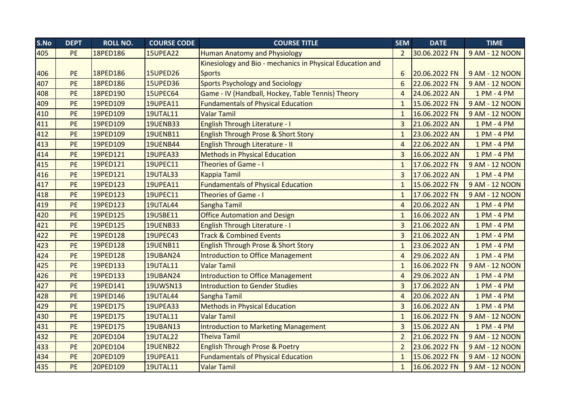| S.No | <b>DEPT</b> | <b>ROLL NO.</b> | <b>COURSE CODE</b> | <b>COURSE TITLE</b>                                       | <b>SEM</b>     | <b>DATE</b>   | <b>TIME</b>    |
|------|-------------|-----------------|--------------------|-----------------------------------------------------------|----------------|---------------|----------------|
| 405  | <b>PE</b>   | 18PED186        | 15UPEA22           | <b>Human Anatomy and Physiology</b>                       | $2^{\circ}$    | 30.06.2022 FN | 9 AM - 12 NOON |
|      |             |                 |                    | Kinesiology and Bio - mechanics in Physical Education and |                |               |                |
| 406  | <b>PE</b>   | 18PED186        | 15UPED26           | <b>Sports</b>                                             | 6              | 20.06.2022 FN | 9 AM - 12 NOON |
| 407  | <b>PE</b>   | 18PED186        | 15UPED36           | <b>Sports Psychology and Sociology</b>                    | 6              | 22.06.2022 FN | 9 AM - 12 NOON |
| 408  | PE          | 18PED190        | 15UPEC64           | Game - IV (Handball, Hockey, Table Tennis) Theory         | $\overline{4}$ | 24.06.2022 AN | 1 PM - 4 PM    |
| 409  | <b>PE</b>   | 19PED109        | <b>19UPEA11</b>    | <b>Fundamentals of Physical Education</b>                 | $\mathbf{1}$   | 15.06.2022 FN | 9 AM - 12 NOON |
| 410  | PE          | 19PED109        | <b>19UTAL11</b>    | <b>Valar Tamil</b>                                        | $\mathbf{1}$   | 16.06.2022 FN | 9 AM - 12 NOON |
| 411  | <b>PE</b>   | 19PED109        | <b>19UENB33</b>    | <b>English Through Literature - I</b>                     | 3              | 21.06.2022 AN | 1 PM - 4 PM    |
| 412  | PE          | 19PED109        | <b>19UENB11</b>    | <b>English Through Prose &amp; Short Story</b>            | $\mathbf{1}$   | 23.06.2022 AN | 1 PM - 4 PM    |
| 413  | PE          | 19PED109        | <b>19UENB44</b>    | English Through Literature - II                           | 4              | 22.06.2022 AN | 1 PM - 4 PM    |
| 414  | PE          | 19PED121        | <b>19UPEA33</b>    | <b>Methods in Physical Education</b>                      | 3              | 16.06.2022 AN | 1 PM - 4 PM    |
| 415  | <b>PE</b>   | 19PED121        | <b>19UPEC11</b>    | <b>Theories of Game - I</b>                               | $\mathbf{1}$   | 17.06.2022 FN | 9 AM - 12 NOON |
| 416  | <b>PE</b>   | 19PED121        | <b>19UTAL33</b>    | <b>Kappia Tamil</b>                                       | $\overline{3}$ | 17.06.2022 AN | 1 PM - 4 PM    |
| 417  | PE          | 19PED123        | <b>19UPEA11</b>    | <b>Fundamentals of Physical Education</b>                 | $\mathbf{1}$   | 15.06.2022 FN | 9 AM - 12 NOON |
| 418  | <b>PE</b>   | 19PED123        | <b>19UPEC11</b>    | <b>Theories of Game - I</b>                               | $\mathbf{1}$   | 17.06.2022 FN | 9 AM - 12 NOON |
| 419  | PE          | 19PED123        | <b>19UTAL44</b>    | Sangha Tamil                                              | $\overline{4}$ | 20.06.2022 AN | 1 PM - 4 PM    |
| 420  | <b>PE</b>   | 19PED125        | 19USBE11           | <b>Office Automation and Design</b>                       | $\mathbf{1}$   | 16.06.2022 AN | 1 PM - 4 PM    |
| 421  | PE          | 19PED125        | <b>19UENB33</b>    | <b>English Through Literature - I</b>                     | 3              | 21.06.2022 AN | 1 PM - 4 PM    |
| 422  | <b>PE</b>   | 19PED128        | 19UPEC43           | <b>Track &amp; Combined Events</b>                        | 3              | 21.06.2022 AN | 1 PM - 4 PM    |
| 423  | PE          | 19PED128        | <b>19UENB11</b>    | <b>English Through Prose &amp; Short Story</b>            | $\mathbf{1}$   | 23.06.2022 AN | 1 PM - 4 PM    |
| 424  | <b>PE</b>   | 19PED128        | <b>19UBAN24</b>    | <b>Introduction to Office Management</b>                  | $\overline{4}$ | 29.06.2022 AN | 1 PM - 4 PM    |
| 425  | PE          | 19PED133        | <b>19UTAL11</b>    | <b>Valar Tamil</b>                                        | $\mathbf{1}$   | 16.06.2022 FN | 9 AM - 12 NOON |
| 426  | <b>PE</b>   | 19PED133        | <b>19UBAN24</b>    | <b>Introduction to Office Management</b>                  | $\overline{4}$ | 29.06.2022 AN | 1 PM - 4 PM    |
| 427  | PE          | 19PED141        | <b>19UWSN13</b>    | <b>Introduction to Gender Studies</b>                     | $\overline{3}$ | 17.06.2022 AN | 1 PM - 4 PM    |
| 428  | PE          | 19PED146        | <b>19UTAL44</b>    | Sangha Tamil                                              | 4              | 20.06.2022 AN | 1 PM - 4 PM    |
| 429  | <b>PE</b>   | 19PED175        | <b>19UPEA33</b>    | <b>Methods in Physical Education</b>                      | 3              | 16.06.2022 AN | 1 PM - 4 PM    |
| 430  | PE          | 19PED175        | <b>19UTAL11</b>    | <b>Valar Tamil</b>                                        | $\mathbf{1}$   | 16.06.2022 FN | 9 AM - 12 NOON |
| 431  | <b>PE</b>   | 19PED175        | <b>19UBAN13</b>    | <b>Introduction to Marketing Management</b>               | $\overline{3}$ | 15.06.2022 AN | 1 PM - 4 PM    |
| 432  | PE          | 20PED104        | <b>19UTAL22</b>    | <b>Theiva Tamil</b>                                       | $\overline{2}$ | 21.06.2022 FN | 9 AM - 12 NOON |
| 433  | <b>PE</b>   | 20PED104        | <b>19UENB22</b>    | <b>English Through Prose &amp; Poetry</b>                 | $\overline{2}$ | 23.06.2022 FN | 9 AM - 12 NOON |
| 434  | PE          | 20PED109        | <b>19UPEA11</b>    | <b>Fundamentals of Physical Education</b>                 | $\mathbf{1}$   | 15.06.2022 FN | 9 AM - 12 NOON |
| 435  | <b>PE</b>   | 20PED109        | <b>19UTAL11</b>    | <b>Valar Tamil</b>                                        | $\mathbf{1}$   | 16.06.2022 FN | 9 AM - 12 NOON |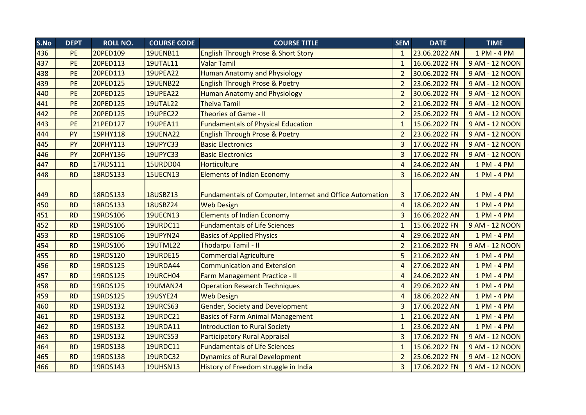| S.No | <b>DEPT</b> | <b>ROLL NO.</b> | <b>COURSE CODE</b> | <b>COURSE TITLE</b>                                             | <b>SEM</b>     | <b>DATE</b>   | <b>TIME</b>    |
|------|-------------|-----------------|--------------------|-----------------------------------------------------------------|----------------|---------------|----------------|
| 436  | <b>PE</b>   | 20PED109        | <b>19UENB11</b>    | <b>English Through Prose &amp; Short Story</b>                  | $\mathbf{1}$   | 23.06.2022 AN | 1 PM - 4 PM    |
| 437  | <b>PE</b>   | 20PED113        | <b>19UTAL11</b>    | Valar Tamil                                                     | $\mathbf{1}$   | 16.06.2022 FN | 9 AM - 12 NOON |
| 438  | PE          | 20PED113        | <b>19UPEA22</b>    | <b>Human Anatomy and Physiology</b>                             | $\overline{2}$ | 30.06.2022 FN | 9 AM - 12 NOON |
| 439  | <b>PE</b>   | 20PED125        | <b>19UENB22</b>    | <b>English Through Prose &amp; Poetry</b>                       | $\overline{2}$ | 23.06.2022 FN | 9 AM - 12 NOON |
| 440  | PE          | 20PED125        | <b>19UPEA22</b>    | <b>Human Anatomy and Physiology</b>                             | $\overline{2}$ | 30.06.2022 FN | 9 AM - 12 NOON |
| 441  | <b>PE</b>   | 20PED125        | <b>19UTAL22</b>    | <b>Theiva Tamil</b>                                             | $2^{\circ}$    | 21.06.2022 FN | 9 AM - 12 NOON |
| 442  | PE          | 20PED125        | 19UPEC22           | <b>Theories of Game - II</b>                                    | $\overline{2}$ | 25.06.2022 FN | 9 AM - 12 NOON |
| 443  | <b>PE</b>   | 21PED127        | <b>19UPEA11</b>    | <b>Fundamentals of Physical Education</b>                       | $\mathbf{1}$   | 15.06.2022 FN | 9 AM - 12 NOON |
| 444  | PY          | 19PHY118        | <b>19UENA22</b>    | <b>English Through Prose &amp; Poetry</b>                       | $\overline{2}$ | 23.06.2022 FN | 9 AM - 12 NOON |
| 445  | PY          | <b>20PHY113</b> | 19UPYC33           | <b>Basic Electronics</b>                                        | $\overline{3}$ | 17.06.2022 FN | 9 AM - 12 NOON |
| 446  | PY          | <b>20PHY136</b> | 19UPYC33           | <b>Basic Electronics</b>                                        | 3              | 17.06.2022 FN | 9 AM - 12 NOON |
| 447  | <b>RD</b>   | 17RDS111        | 15URDD04           | Horticulture                                                    | $\overline{4}$ | 24.06.2022 AN | 1 PM - 4 PM    |
| 448  | <b>RD</b>   | 18RDS133        | <b>15UECN13</b>    | <b>Elements of Indian Economy</b>                               | $\overline{3}$ | 16.06.2022 AN | 1 PM - 4 PM    |
|      |             |                 |                    |                                                                 |                |               |                |
| 449  | <b>RD</b>   | 18RDS133        | 18USBZ13           | <b>Fundamentals of Computer, Internet and Office Automation</b> | 3              | 17.06.2022 AN | 1 PM - 4 PM    |
| 450  | <b>RD</b>   | 18RDS133        | <b>18USBZ24</b>    | <b>Web Design</b>                                               | $\overline{4}$ | 18.06.2022 AN | 1 PM - 4 PM    |
| 451  | <b>RD</b>   | 19RDS106        | <b>19UECN13</b>    | <b>Elements of Indian Economy</b>                               | $\overline{3}$ | 16.06.2022 AN | 1 PM - 4 PM    |
| 452  | <b>RD</b>   | 19RDS106        | <b>19URDC11</b>    | <b>Fundamentals of Life Sciences</b>                            | $\mathbf{1}$   | 15.06.2022 FN | 9 AM - 12 NOON |
| 453  | <b>RD</b>   | 19RDS106        | <b>19UPYN24</b>    | <b>Basics of Applied Physics</b>                                | $\overline{4}$ | 29.06.2022 AN | 1 PM - 4 PM    |
| 454  | <b>RD</b>   | 19RDS106        | <b>19UTML22</b>    | Thodarpu Tamil - II                                             | $\overline{2}$ | 21.06.2022 FN | 9 AM - 12 NOON |
| 455  | <b>RD</b>   | 19RDS120        | <b>19URDE15</b>    | <b>Commercial Agriculture</b>                                   | 5              | 21.06.2022 AN | 1 PM - 4 PM    |
| 456  | <b>RD</b>   | 19RDS125        | <b>19URDA44</b>    | <b>Communication and Extension</b>                              | $\overline{4}$ | 27.06.2022 AN | 1 PM - 4 PM    |
| 457  | <b>RD</b>   | 19RDS125        | 19URCH04           | Farm Management Practice - II                                   | 4              | 24.06.2022 AN | 1 PM - 4 PM    |
| 458  | <b>RD</b>   | 19RDS125        | <b>19UMAN24</b>    | <b>Operation Research Techniques</b>                            | $\overline{4}$ | 29.06.2022 AN | 1 PM - 4 PM    |
| 459  | <b>RD</b>   | 19RDS125        | <b>19USYE24</b>    | <b>Web Design</b>                                               | $\overline{4}$ | 18.06.2022 AN | 1 PM - 4 PM    |
| 460  | <b>RD</b>   | 19RDS132        | <b>19URCS63</b>    | <b>Gender, Society and Development</b>                          | $\overline{3}$ | 17.06.2022 AN | 1 PM - 4 PM    |
| 461  | <b>RD</b>   | 19RDS132        | <b>19URDC21</b>    | <b>Basics of Farm Animal Management</b>                         | $\mathbf{1}$   | 21.06.2022 AN | 1 PM - 4 PM    |
| 462  | <b>RD</b>   | 19RDS132        | <b>19URDA11</b>    | <b>Introduction to Rural Society</b>                            | $\mathbf{1}$   | 23.06.2022 AN | 1 PM - 4 PM    |
| 463  | <b>RD</b>   | 19RDS132        | <b>19URCS53</b>    | <b>Participatory Rural Appraisal</b>                            | 3              | 17.06.2022 FN | 9 AM - 12 NOON |
| 464  | <b>RD</b>   | 19RDS138        | <b>19URDC11</b>    | <b>Fundamentals of Life Sciences</b>                            | $\mathbf{1}$   | 15.06.2022 FN | 9 AM - 12 NOON |
| 465  | <b>RD</b>   | 19RDS138        | <b>19URDC32</b>    | <b>Dynamics of Rural Development</b>                            | $\overline{2}$ | 25.06.2022 FN | 9 AM - 12 NOON |
| 466  | <b>RD</b>   | 19RDS143        | <b>19UHSN13</b>    | History of Freedom struggle in India                            | $\overline{3}$ | 17.06.2022 FN | 9 AM - 12 NOON |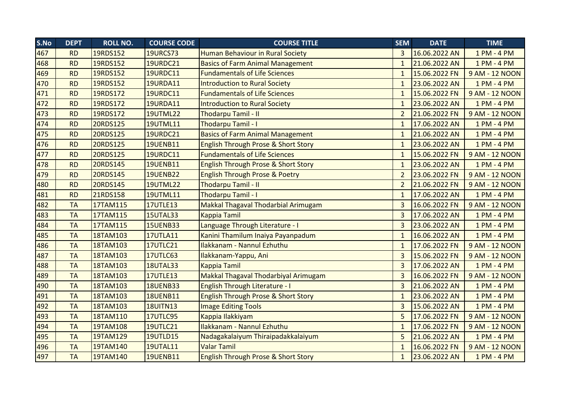| S.No | <b>DEPT</b> | <b>ROLL NO.</b> | <b>COURSE CODE</b> | <b>COURSE TITLE</b>                            | <b>SEM</b>     | <b>DATE</b>   | <b>TIME</b>    |
|------|-------------|-----------------|--------------------|------------------------------------------------|----------------|---------------|----------------|
| 467  | <b>RD</b>   | 19RDS152        | <b>19URCS73</b>    | <b>Human Behaviour in Rural Society</b>        | $\overline{3}$ | 16.06.2022 AN | 1 PM - 4 PM    |
| 468  | <b>RD</b>   | 19RDS152        | <b>19URDC21</b>    | <b>Basics of Farm Animal Management</b>        | $\mathbf{1}$   | 21.06.2022 AN | 1 PM - 4 PM    |
| 469  | <b>RD</b>   | 19RDS152        | <b>19URDC11</b>    | <b>Fundamentals of Life Sciences</b>           | $\mathbf{1}$   | 15.06.2022 FN | 9 AM - 12 NOON |
| 470  | <b>RD</b>   | 19RDS152        | <b>19URDA11</b>    | Introduction to Rural Society                  | $\mathbf{1}$   | 23.06.2022 AN | 1 PM - 4 PM    |
| 471  | <b>RD</b>   | 19RDS172        | <b>19URDC11</b>    | <b>Fundamentals of Life Sciences</b>           | $\mathbf{1}$   | 15.06.2022 FN | 9 AM - 12 NOON |
| 472  | <b>RD</b>   | 19RDS172        | <b>19URDA11</b>    | <b>Introduction to Rural Society</b>           | $\mathbf{1}$   | 23.06.2022 AN | 1 PM - 4 PM    |
| 473  | <b>RD</b>   | 19RDS172        | <b>19UTML22</b>    | Thodarpu Tamil - II                            | $\overline{2}$ | 21.06.2022 FN | 9 AM - 12 NOON |
| 474  | <b>RD</b>   | 20RDS125        | <b>19UTML11</b>    | Thodarpu Tamil - I                             | $\mathbf{1}$   | 17.06.2022 AN | 1 PM - 4 PM    |
| 475  | <b>RD</b>   | 20RDS125        | <b>19URDC21</b>    | <b>Basics of Farm Animal Management</b>        | $\mathbf{1}$   | 21.06.2022 AN | 1 PM - 4 PM    |
| 476  | <b>RD</b>   | 20RDS125        | <b>19UENB11</b>    | <b>English Through Prose &amp; Short Story</b> | $\mathbf{1}$   | 23.06.2022 AN | 1 PM - 4 PM    |
| 477  | <b>RD</b>   | 20RDS125        | <b>19URDC11</b>    | <b>Fundamentals of Life Sciences</b>           | $\mathbf{1}$   | 15.06.2022 FN | 9 AM - 12 NOON |
| 478  | <b>RD</b>   | 20RDS145        | <b>19UENB11</b>    | <b>English Through Prose &amp; Short Story</b> | 1              | 23.06.2022 AN | 1 PM - 4 PM    |
| 479  | <b>RD</b>   | 20RDS145        | <b>19UENB22</b>    | English Through Prose & Poetry                 | $\overline{2}$ | 23.06.2022 FN | 9 AM - 12 NOON |
| 480  | <b>RD</b>   | 20RDS145        | <b>19UTML22</b>    | Thodarpu Tamil - II                            | $\overline{2}$ | 21.06.2022 FN | 9 AM - 12 NOON |
| 481  | <b>RD</b>   | 21RDS158        | <b>19UTML11</b>    | Thodarpu Tamil - I                             | $\mathbf{1}$   | 17.06.2022 AN | 1 PM - 4 PM    |
| 482  | <b>TA</b>   | 17TAM115        | <b>17UTLE13</b>    | Makkal Thagaval Thodarbial Arimugam            | $\overline{3}$ | 16.06.2022 FN | 9 AM - 12 NOON |
| 483  | <b>TA</b>   | 17TAM115        | <b>15UTAL33</b>    | <b>Kappia Tamil</b>                            | 3              | 17.06.2022 AN | 1 PM - 4 PM    |
| 484  | <b>TA</b>   | 17TAM115        | <b>15UENB33</b>    | Language Through Literature - I                | $\overline{3}$ | 23.06.2022 AN | 1 PM - 4 PM    |
| 485  | <b>TA</b>   | 18TAM103        | <b>17UTLA11</b>    | Kanini Thamilum Inaiya Payanpadum              | $\mathbf{1}$   | 16.06.2022 AN | 1 PM - 4 PM    |
| 486  | <b>TA</b>   | 18TAM103        | <b>17UTLC21</b>    | Ilakkanam - Nannul Ezhuthu                     | $\mathbf{1}$   | 17.06.2022 FN | 9 AM - 12 NOON |
| 487  | <b>TA</b>   | 18TAM103        | <b>17UTLC63</b>    | Ilakkanam-Yappu, Ani                           | 3              | 15.06.2022 FN | 9 AM - 12 NOON |
| 488  | <b>TA</b>   | 18TAM103        | <b>18UTAL33</b>    | <b>Kappia Tamil</b>                            | $\overline{3}$ | 17.06.2022 AN | 1 PM - 4 PM    |
| 489  | <b>TA</b>   | 18TAM103        | <b>17UTLE13</b>    | Makkal Thagaval Thodarbiyal Arimugam           | $\overline{3}$ | 16.06.2022 FN | 9 AM - 12 NOON |
| 490  | <b>TA</b>   | 18TAM103        | <b>18UENB33</b>    | <b>English Through Literature - I</b>          | $\overline{3}$ | 21.06.2022 AN | 1 PM - 4 PM    |
| 491  | <b>TA</b>   | 18TAM103        | <b>18UENB11</b>    | <b>English Through Prose &amp; Short Story</b> | $\mathbf{1}$   | 23.06.2022 AN | 1 PM - 4 PM    |
| 492  | <b>TA</b>   | 18TAM103        | <b>18UITN13</b>    | <b>Image Editing Tools</b>                     | 3              | 15.06.2022 AN | 1 PM - 4 PM    |
| 493  | <b>TA</b>   | 18TAM110        | <b>17UTLC95</b>    | Kappia Ilakkiyam                               | 5              | 17.06.2022 FN | 9 AM - 12 NOON |
| 494  | <b>TA</b>   | 19TAM108        | <b>19UTLC21</b>    | Ilakkanam - Nannul Ezhuthu                     | $\mathbf{1}$   | 17.06.2022 FN | 9 AM - 12 NOON |
| 495  | <b>TA</b>   | 19TAM129        | <b>19UTLD15</b>    | Nadagakalaiyum Thiraipadakkalaiyum             | 5              | 21.06.2022 AN | 1 PM - 4 PM    |
| 496  | <b>TA</b>   | 19TAM140        | <b>19UTAL11</b>    | <b>Valar Tamil</b>                             | $\mathbf{1}$   | 16.06.2022 FN | 9 AM - 12 NOON |
| 497  | <b>TA</b>   | 19TAM140        | <b>19UENB11</b>    | <b>English Through Prose &amp; Short Story</b> | $\mathbf{1}$   | 23.06.2022 AN | 1 PM - 4 PM    |